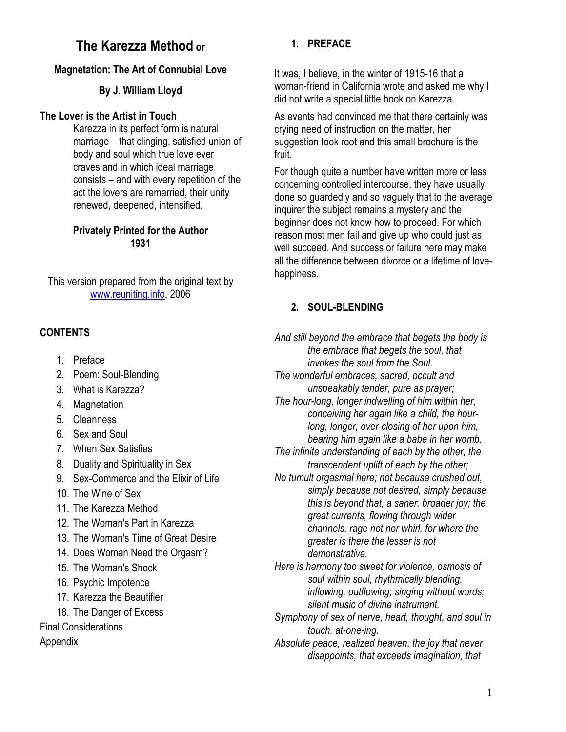# The Karezza Method or

# Magnetation: The Art of Connubial Love

# By J. William Lloyd

### The Lover is the Artist in Touch

Karezza in its perfect form is natural marriage – that clinging, satisfied union of body and soul which true love ever craves and in which ideal marriage consists – and with every repetition of the act the lovers are remarried, their unity renewed, deepened, intensified.

#### Privately Printed for the Author 1931

This version prepared from the original text by www.reuniting.info, 2006

# **CONTENTS**

- 1. Preface
- 2. Poem: Soul-Blending
- 3. What is Karezza?
- 4. Magnetation
- 5. Cleanness
- 6. Sex and Soul
- 7. When Sex Satisfies
- 8. Duality and Spirituality in Sex
- 9. Sex-Commerce and the Elixir of Life
- 10. The Wine of Sex
- 11. The Karezza Method
- 12. The Woman's Part in Karezza
- 13. The Woman's Time of Great Desire
- 14. Does Woman Need the Orgasm?
- 15. The Woman's Shock
- 16. Psychic Impotence
- 17. Karezza the Beautifier
- 18. The Danger of Excess

Final Considerations

Appendix

# 1. PREFACE

It was, I believe, in the winter of 1915-16 that a woman-friend in California wrote and asked me why I did not write a special little book on Karezza.

As events had convinced me that there certainly was crying need of instruction on the matter, her suggestion took root and this small brochure is the fruit.

For though quite a number have written more or less concerning controlled intercourse, they have usually done so guardedly and so vaguely that to the average inquirer the subject remains a mystery and the beginner does not know how to proceed. For which reason most men fail and give up who could just as well succeed. And success or failure here may make all the difference between divorce or a lifetime of lovehappiness.

# 2. SOUL-BLENDING

And still beyond the embrace that begets the body is the embrace that begets the soul, that invokes the soul from the Soul. The wonderful embraces, sacred, occult and unspeakably tender, pure as prayer; The hour-long, longer indwelling of him within her, conceiving her again like a child, the hourlong, longer, over-closing of her upon him, bearing him again like a babe in her womb. The infinite understanding of each by the other, the transcendent uplift of each by the other;

No tumult orgasmal here; not because crushed out, simply because not desired, simply because this is beyond that, a saner, broader joy; the great currents, flowing through wider channels, rage not nor whirl, for where the greater is there the lesser is not demonstrative.

Here is harmony too sweet for violence, osmosis of soul within soul, rhythmically blending, inflowing, outflowing; singing without words; silent music of divine instrument.

Symphony of sex of nerve, heart, thought, and soul in touch, at-one-ing.

Absolute peace, realized heaven, the joy that never disappoints, that exceeds imagination, that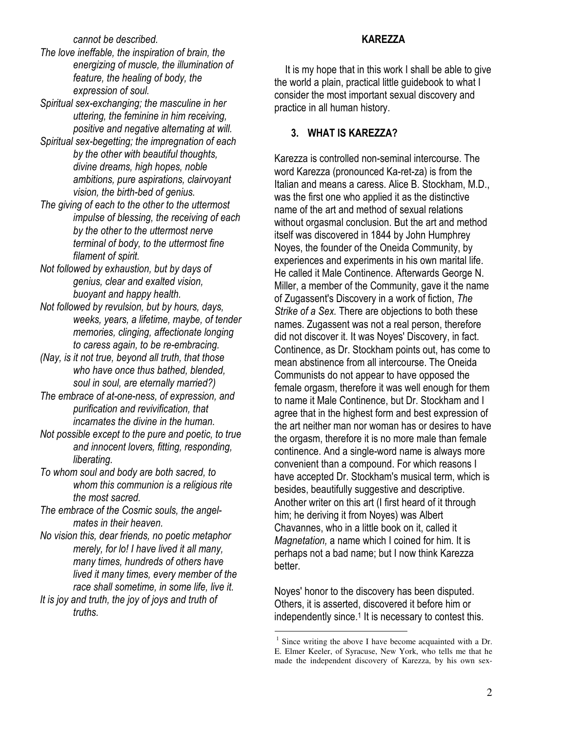cannot be described.

- The love ineffable, the inspiration of brain, the energizing of muscle, the illumination of feature, the healing of body, the expression of soul.
- Spiritual sex-exchanging; the masculine in her uttering, the feminine in him receiving, positive and negative alternating at will.
- Spiritual sex-begetting; the impregnation of each by the other with beautiful thoughts, divine dreams, high hopes, noble ambitions, pure aspirations, clairvoyant vision, the birth-bed of genius.
- The giving of each to the other to the uttermost impulse of blessing, the receiving of each by the other to the uttermost nerve terminal of body, to the uttermost fine filament of spirit.
- Not followed by exhaustion, but by days of genius, clear and exalted vision, buoyant and happy health.
- Not followed by revulsion, but by hours, days, weeks, years, a lifetime, maybe, of tender memories, clinging, affectionate longing to caress again, to be re-embracing.
- (Nay, is it not true, beyond all truth, that those who have once thus bathed, blended, soul in soul, are eternally married?)
- The embrace of at-one-ness, of expression, and purification and revivification, that incarnates the divine in the human.
- Not possible except to the pure and poetic, to true and innocent lovers, fitting, responding, liberating.
- To whom soul and body are both sacred, to whom this communion is a religious rite the most sacred.
- The embrace of the Cosmic souls, the angelmates in their heaven.
- No vision this, dear friends, no poetic metaphor merely, for lo! I have lived it all many, many times, hundreds of others have lived it many times, every member of the race shall sometime, in some life, live it.
- It is joy and truth, the joy of joys and truth of truths.

It is my hope that in this work I shall be able to give the world a plain, practical little guidebook to what I consider the most important sexual discovery and practice in all human history.

### 3. WHAT IS KAREZZA?

Karezza is controlled non-seminal intercourse. The word Karezza (pronounced Ka-ret-za) is from the Italian and means a caress. Alice B. Stockham, M.D., was the first one who applied it as the distinctive name of the art and method of sexual relations without orgasmal conclusion. But the art and method itself was discovered in 1844 by John Humphrey Noyes, the founder of the Oneida Community, by experiences and experiments in his own marital life. He called it Male Continence. Afterwards George N. Miller, a member of the Community, gave it the name of Zugassent's Discovery in a work of fiction, The Strike of a Sex. There are objections to both these names. Zugassent was not a real person, therefore did not discover it. It was Noyes' Discovery, in fact. Continence, as Dr. Stockham points out, has come to mean abstinence from all intercourse. The Oneida Communists do not appear to have opposed the female orgasm, therefore it was well enough for them to name it Male Continence, but Dr. Stockham and I agree that in the highest form and best expression of the art neither man nor woman has or desires to have the orgasm, therefore it is no more male than female continence. And a single-word name is always more convenient than a compound. For which reasons I have accepted Dr. Stockham's musical term, which is besides, beautifully suggestive and descriptive. Another writer on this art (I first heard of it through him; he deriving it from Noyes) was Albert Chavannes, who in a little book on it, called it Magnetation, a name which I coined for him. It is perhaps not a bad name; but I now think Karezza better.

Noyes' honor to the discovery has been disputed. Others, it is asserted, discovered it before him or independently since.<sup>1</sup> It is necessary to contest this.

<u>.</u>

#### KAREZZA

<sup>&</sup>lt;sup>1</sup> Since writing the above I have become acquainted with a Dr. E. Elmer Keeler, of Syracuse, New York, who tells me that he made the independent discovery of Karezza, by his own sex-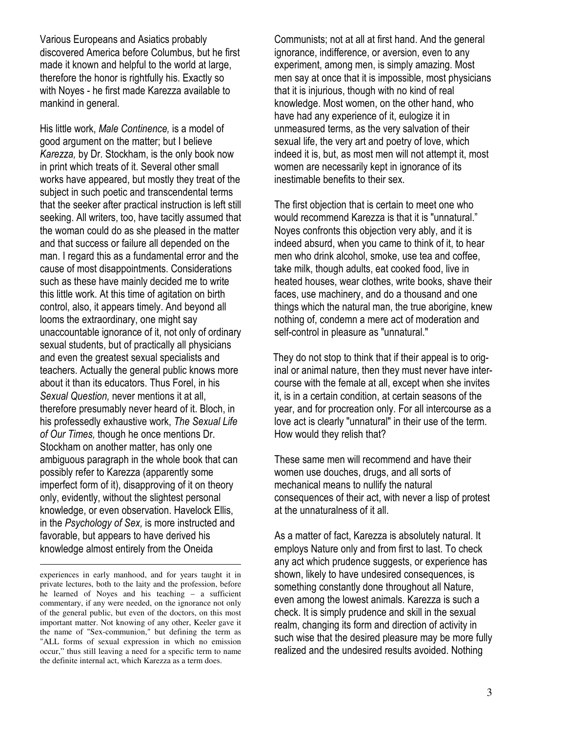Various Europeans and Asiatics probably discovered America before Columbus, but he first made it known and helpful to the world at large, therefore the honor is rightfully his. Exactly so with Noyes - he first made Karezza available to mankind in general.

His little work, Male Continence, is a model of good argument on the matter; but I believe Karezza, by Dr. Stockham, is the only book now in print which treats of it. Several other small works have appeared, but mostly they treat of the subject in such poetic and transcendental terms that the seeker after practical instruction is left still seeking. All writers, too, have tacitly assumed that the woman could do as she pleased in the matter and that success or failure all depended on the man. I regard this as a fundamental error and the cause of most disappointments. Considerations such as these have mainly decided me to write this little work. At this time of agitation on birth control, also, it appears timely. And beyond all looms the extraordinary, one might say unaccountable ignorance of it, not only of ordinary sexual students, but of practically all physicians and even the greatest sexual specialists and teachers. Actually the general public knows more about it than its educators. Thus Forel, in his Sexual Question, never mentions it at all, therefore presumably never heard of it. Bloch, in his professedly exhaustive work, The Sexual Life of Our Times, though he once mentions Dr. Stockham on another matter, has only one ambiguous paragraph in the whole book that can possibly refer to Karezza (apparently some imperfect form of it), disapproving of it on theory only, evidently, without the slightest personal knowledge, or even observation. Havelock Ellis, in the Psychology of Sex, is more instructed and favorable, but appears to have derived his knowledge almost entirely from the Oneida

 $\overline{a}$ 

Communists; not at all at first hand. And the general ignorance, indifference, or aversion, even to any experiment, among men, is simply amazing. Most men say at once that it is impossible, most physicians that it is injurious, though with no kind of real knowledge. Most women, on the other hand, who have had any experience of it, eulogize it in unmeasured terms, as the very salvation of their sexual life, the very art and poetry of love, which indeed it is, but, as most men will not attempt it, most women are necessarily kept in ignorance of its inestimable benefits to their sex.

The first objection that is certain to meet one who would recommend Karezza is that it is "unnatural." Noyes confronts this objection very ably, and it is indeed absurd, when you came to think of it, to hear men who drink alcohol, smoke, use tea and coffee, take milk, though adults, eat cooked food, live in heated houses, wear clothes, write books, shave their faces, use machinery, and do a thousand and one things which the natural man, the true aborigine, knew nothing of, condemn a mere act of moderation and self-control in pleasure as "unnatural."

They do not stop to think that if their appeal is to original or animal nature, then they must never have intercourse with the female at all, except when she invites it, is in a certain condition, at certain seasons of the year, and for procreation only. For all intercourse as a love act is clearly "unnatural" in their use of the term. How would they relish that?

These same men will recommend and have their women use douches, drugs, and all sorts of mechanical means to nullify the natural consequences of their act, with never a lisp of protest at the unnaturalness of it all.

As a matter of fact, Karezza is absolutely natural. It employs Nature only and from first to last. To check any act which prudence suggests, or experience has shown, likely to have undesired consequences, is something constantly done throughout all Nature, even among the lowest animals. Karezza is such a check. It is simply prudence and skill in the sexual realm, changing its form and direction of activity in such wise that the desired pleasure may be more fully realized and the undesired results avoided. Nothing

experiences in early manhood, and for years taught it in private lectures, both to the laity and the profession, before he learned of Noyes and his teaching – a sufficient commentary, if any were needed, on the ignorance not only of the general public, but even of the doctors, on this most important matter. Not knowing of any other, Keeler gave it the name of "Sex-communion," but defining the term as "ALL forms of sexual expression in which no emission occur," thus still leaving a need for a specific term to name the definite internal act, which Karezza as a term does.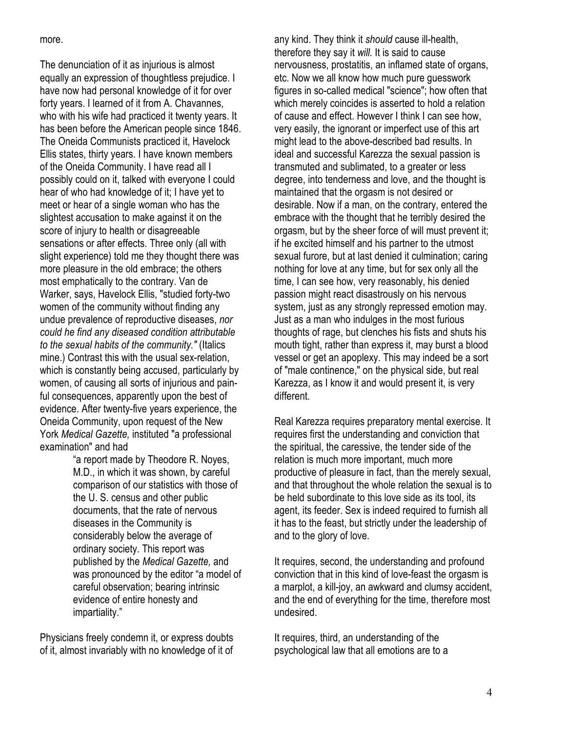more.

The denunciation of it as injurious is almost equally an expression of thoughtless prejudice. I have now had personal knowledge of it for over forty years. I learned of it from A. Chavannes, who with his wife had practiced it twenty years. It has been before the American people since 1846. The Oneida Communists practiced it, Havelock Ellis states, thirty years. I have known members of the Oneida Community. I have read all I possibly could on it, talked with everyone I could hear of who had knowledge of it; I have yet to meet or hear of a single woman who has the slightest accusation to make against it on the score of injury to health or disagreeable sensations or after effects. Three only (all with slight experience) told me they thought there was more pleasure in the old embrace; the others most emphatically to the contrary. Van de Warker, says, Havelock Ellis, "studied forty-two women of the community without finding any undue prevalence of reproductive diseases, nor could he find any diseased condition attributable to the sexual habits of the community." (Italics mine.) Contrast this with the usual sex-relation, which is constantly being accused, particularly by women, of causing all sorts of injurious and painful consequences, apparently upon the best of evidence. After twenty-five years experience, the Oneida Community, upon request of the New York Medical Gazette, instituted "a professional examination" and had

"a report made by Theodore R. Noyes, M.D., in which it was shown, by careful comparison of our statistics with those of the U. S. census and other public documents, that the rate of nervous diseases in the Community is considerably below the average of ordinary society. This report was published by the Medical Gazette, and was pronounced by the editor "a model of careful observation; bearing intrinsic evidence of entire honesty and impartiality."

Physicians freely condemn it, or express doubts of it, almost invariably with no knowledge of it of any kind. They think it should cause ill-health, therefore they say it will. It is said to cause nervousness, prostatitis, an inflamed state of organs, etc. Now we all know how much pure guesswork figures in so-called medical "science"; how often that which merely coincides is asserted to hold a relation of cause and effect. However I think I can see how, very easily, the ignorant or imperfect use of this art might lead to the above-described bad results. In ideal and successful Karezza the sexual passion is transmuted and sublimated, to a greater or less degree, into tenderness and love, and the thought is maintained that the orgasm is not desired or desirable. Now if a man, on the contrary, entered the embrace with the thought that he terribly desired the orgasm, but by the sheer force of will must prevent it; if he excited himself and his partner to the utmost sexual furore, but at last denied it culmination; caring nothing for love at any time, but for sex only all the time, I can see how, very reasonably, his denied passion might react disastrously on his nervous system, just as any strongly repressed emotion may. Just as a man who indulges in the most furious thoughts of rage, but clenches his fists and shuts his mouth tight, rather than express it, may burst a blood vessel or get an apoplexy. This may indeed be a sort of "male continence," on the physical side, but real Karezza, as I know it and would present it, is very different.

Real Karezza requires preparatory mental exercise. It requires first the understanding and conviction that the spiritual, the caressive, the tender side of the relation is much more important, much more productive of pleasure in fact, than the merely sexual, and that throughout the whole relation the sexual is to be held subordinate to this love side as its tool, its agent, its feeder. Sex is indeed required to furnish all it has to the feast, but strictly under the leadership of and to the glory of love.

It requires, second, the understanding and profound conviction that in this kind of love-feast the orgasm is a marplot, a kill-joy, an awkward and clumsy accident, and the end of everything for the time, therefore most undesired.

It requires, third, an understanding of the psychological law that all emotions are to a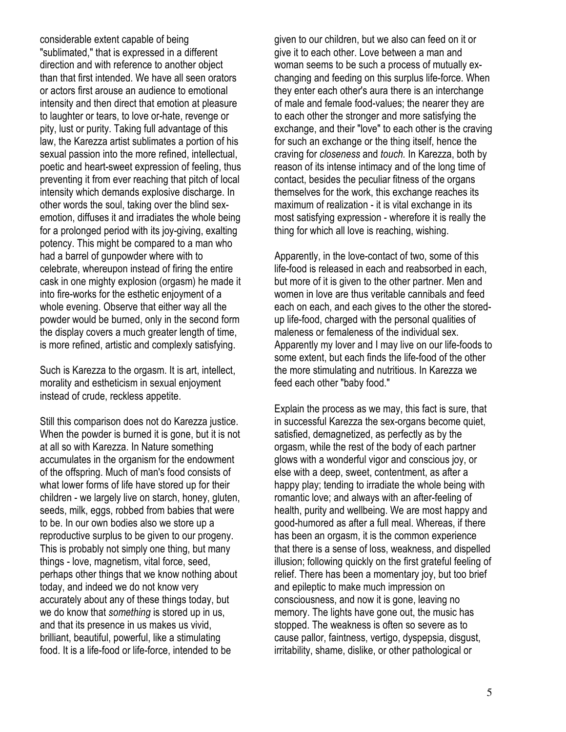considerable extent capable of being "sublimated," that is expressed in a different direction and with reference to another object than that first intended. We have all seen orators or actors first arouse an audience to emotional intensity and then direct that emotion at pleasure to laughter or tears, to love or-hate, revenge or pity, lust or purity. Taking full advantage of this law, the Karezza artist sublimates a portion of his sexual passion into the more refined, intellectual, poetic and heart-sweet expression of feeling, thus preventing it from ever reaching that pitch of local intensity which demands explosive discharge. In other words the soul, taking over the blind sexemotion, diffuses it and irradiates the whole being for a prolonged period with its joy-giving, exalting potency. This might be compared to a man who had a barrel of gunpowder where with to celebrate, whereupon instead of firing the entire cask in one mighty explosion (orgasm) he made it into fire-works for the esthetic enjoyment of a whole evening. Observe that either way all the powder would be burned, only in the second form the display covers a much greater length of time, is more refined, artistic and complexly satisfying.

Such is Karezza to the orgasm. It is art, intellect, morality and estheticism in sexual enjoyment instead of crude, reckless appetite.

Still this comparison does not do Karezza justice. When the powder is burned it is gone, but it is not at all so with Karezza. In Nature something accumulates in the organism for the endowment of the offspring. Much of man's food consists of what lower forms of life have stored up for their children - we largely live on starch, honey, gluten, seeds, milk, eggs, robbed from babies that were to be. In our own bodies also we store up a reproductive surplus to be given to our progeny. This is probably not simply one thing, but many things - love, magnetism, vital force, seed, perhaps other things that we know nothing about today, and indeed we do not know very accurately about any of these things today, but we do know that something is stored up in us, and that its presence in us makes us vivid, brilliant, beautiful, powerful, like a stimulating food. It is a life-food or life-force, intended to be

given to our children, but we also can feed on it or give it to each other. Love between a man and woman seems to be such a process of mutually exchanging and feeding on this surplus life-force. When they enter each other's aura there is an interchange of male and female food-values; the nearer they are to each other the stronger and more satisfying the exchange, and their "love" to each other is the craving for such an exchange or the thing itself, hence the craving for closeness and touch. In Karezza, both by reason of its intense intimacy and of the long time of contact, besides the peculiar fitness of the organs themselves for the work, this exchange reaches its maximum of realization - it is vital exchange in its most satisfying expression - wherefore it is really the thing for which all love is reaching, wishing.

Apparently, in the love-contact of two, some of this life-food is released in each and reabsorbed in each, but more of it is given to the other partner. Men and women in love are thus veritable cannibals and feed each on each, and each gives to the other the storedup life-food, charged with the personal qualities of maleness or femaleness of the individual sex. Apparently my lover and I may live on our life-foods to some extent, but each finds the life-food of the other the more stimulating and nutritious. In Karezza we feed each other "baby food."

Explain the process as we may, this fact is sure, that in successful Karezza the sex-organs become quiet, satisfied, demagnetized, as perfectly as by the orgasm, while the rest of the body of each partner glows with a wonderful vigor and conscious joy, or else with a deep, sweet, contentment, as after a happy play; tending to irradiate the whole being with romantic love; and always with an after-feeling of health, purity and wellbeing. We are most happy and good-humored as after a full meal. Whereas, if there has been an orgasm, it is the common experience that there is a sense of loss, weakness, and dispelled illusion; following quickly on the first grateful feeling of relief. There has been a momentary joy, but too brief and epileptic to make much impression on consciousness, and now it is gone, leaving no memory. The lights have gone out, the music has stopped. The weakness is often so severe as to cause pallor, faintness, vertigo, dyspepsia, disgust, irritability, shame, dislike, or other pathological or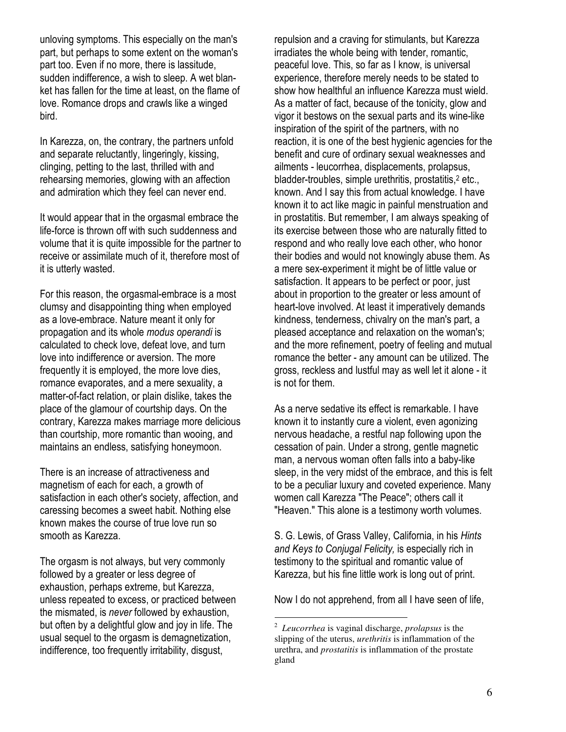unloving symptoms. This especially on the man's part, but perhaps to some extent on the woman's part too. Even if no more, there is lassitude, sudden indifference, a wish to sleep. A wet blanket has fallen for the time at least, on the flame of love. Romance drops and crawls like a winged bird.

In Karezza, on, the contrary, the partners unfold and separate reluctantly, lingeringly, kissing, clinging, petting to the last, thrilled with and rehearsing memories, glowing with an affection and admiration which they feel can never end.

It would appear that in the orgasmal embrace the life-force is thrown off with such suddenness and volume that it is quite impossible for the partner to receive or assimilate much of it, therefore most of it is utterly wasted.

For this reason, the orgasmal-embrace is a most clumsy and disappointing thing when employed as a love-embrace. Nature meant it only for propagation and its whole modus operandi is calculated to check love, defeat love, and turn love into indifference or aversion. The more frequently it is employed, the more love dies, romance evaporates, and a mere sexuality, a matter-of-fact relation, or plain dislike, takes the place of the glamour of courtship days. On the contrary, Karezza makes marriage more delicious than courtship, more romantic than wooing, and maintains an endless, satisfying honeymoon.

There is an increase of attractiveness and magnetism of each for each, a growth of satisfaction in each other's society, affection, and caressing becomes a sweet habit. Nothing else known makes the course of true love run so smooth as Karezza.

The orgasm is not always, but very commonly followed by a greater or less degree of exhaustion, perhaps extreme, but Karezza, unless repeated to excess, or practiced between the mismated, is never followed by exhaustion, but often by a delightful glow and joy in life. The usual sequel to the orgasm is demagnetization, indifference, too frequently irritability, disgust,

repulsion and a craving for stimulants, but Karezza irradiates the whole being with tender, romantic, peaceful love. This, so far as I know, is universal experience, therefore merely needs to be stated to show how healthful an influence Karezza must wield. As a matter of fact, because of the tonicity, glow and vigor it bestows on the sexual parts and its wine-like inspiration of the spirit of the partners, with no reaction, it is one of the best hygienic agencies for the benefit and cure of ordinary sexual weaknesses and ailments - leucorrhea, displacements, prolapsus, bladder-troubles, simple urethritis, prostatitis,<sup>2</sup> etc., known. And I say this from actual knowledge. I have known it to act like magic in painful menstruation and in prostatitis. But remember, I am always speaking of its exercise between those who are naturally fitted to respond and who really love each other, who honor their bodies and would not knowingly abuse them. As a mere sex-experiment it might be of little value or satisfaction. It appears to be perfect or poor, just about in proportion to the greater or less amount of heart-love involved. At least it imperatively demands kindness, tenderness, chivalry on the man's part, a pleased acceptance and relaxation on the woman's; and the more refinement, poetry of feeling and mutual romance the better - any amount can be utilized. The gross, reckless and lustful may as well let it alone - it is not for them.

As a nerve sedative its effect is remarkable. I have known it to instantly cure a violent, even agonizing nervous headache, a restful nap following upon the cessation of pain. Under a strong, gentle magnetic man, a nervous woman often falls into a baby-like sleep, in the very midst of the embrace, and this is felt to be a peculiar luxury and coveted experience. Many women call Karezza "The Peace"; others call it "Heaven." This alone is a testimony worth volumes.

S. G. Lewis, of Grass Valley, California, in his Hints and Keys to Conjugal Felicity, is especially rich in testimony to the spiritual and romantic value of Karezza, but his fine little work is long out of print.

Now I do not apprehend, from all I have seen of life,

-

<sup>2</sup> *Leucorrhea* is vaginal discharge, *prolapsus* is the slipping of the uterus, *urethritis* is inflammation of the urethra, and *prostatitis* is inflammation of the prostate gland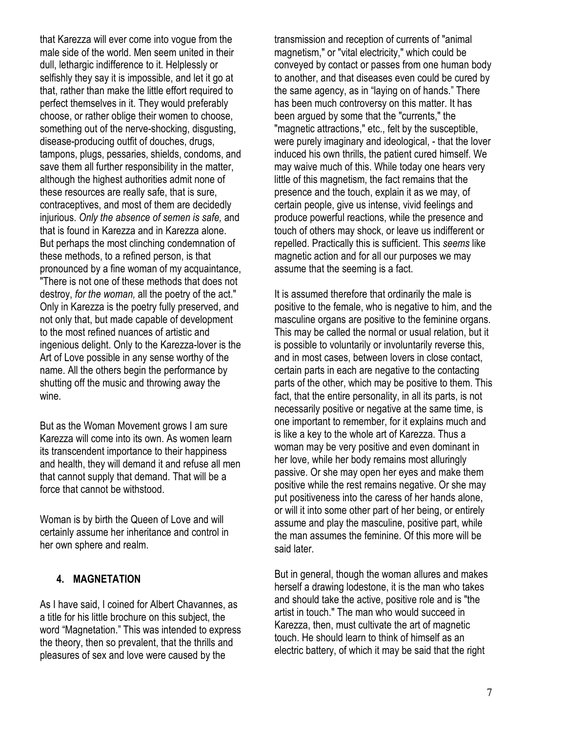that Karezza will ever come into vogue from the male side of the world. Men seem united in their dull, lethargic indifference to it. Helplessly or selfishly they say it is impossible, and let it go at that, rather than make the little effort required to perfect themselves in it. They would preferably choose, or rather oblige their women to choose, something out of the nerve-shocking, disgusting, disease-producing outfit of douches, drugs, tampons, plugs, pessaries, shields, condoms, and save them all further responsibility in the matter, although the highest authorities admit none of these resources are really safe, that is sure, contraceptives, and most of them are decidedly injurious. Only the absence of semen is safe, and that is found in Karezza and in Karezza alone. But perhaps the most clinching condemnation of these methods, to a refined person, is that pronounced by a fine woman of my acquaintance, "There is not one of these methods that does not destroy, for the woman, all the poetry of the act." Only in Karezza is the poetry fully preserved, and not only that, but made capable of development to the most refined nuances of artistic and ingenious delight. Only to the Karezza-lover is the Art of Love possible in any sense worthy of the name. All the others begin the performance by shutting off the music and throwing away the wine.

But as the Woman Movement grows I am sure Karezza will come into its own. As women learn its transcendent importance to their happiness and health, they will demand it and refuse all men that cannot supply that demand. That will be a force that cannot be withstood.

Woman is by birth the Queen of Love and will certainly assume her inheritance and control in her own sphere and realm.

### 4. MAGNETATION

As I have said, I coined for Albert Chavannes, as a title for his little brochure on this subject, the word "Magnetation." This was intended to express the theory, then so prevalent, that the thrills and pleasures of sex and love were caused by the

transmission and reception of currents of "animal magnetism," or "vital electricity," which could be conveyed by contact or passes from one human body to another, and that diseases even could be cured by the same agency, as in "laying on of hands." There has been much controversy on this matter. It has been argued by some that the "currents," the "magnetic attractions," etc., felt by the susceptible, were purely imaginary and ideological, - that the lover induced his own thrills, the patient cured himself. We may waive much of this. While today one hears very little of this magnetism, the fact remains that the presence and the touch, explain it as we may, of certain people, give us intense, vivid feelings and produce powerful reactions, while the presence and touch of others may shock, or leave us indifferent or repelled. Practically this is sufficient. This seems like magnetic action and for all our purposes we may assume that the seeming is a fact.

It is assumed therefore that ordinarily the male is positive to the female, who is negative to him, and the masculine organs are positive to the feminine organs. This may be called the normal or usual relation, but it is possible to voluntarily or involuntarily reverse this, and in most cases, between lovers in close contact, certain parts in each are negative to the contacting parts of the other, which may be positive to them. This fact, that the entire personality, in all its parts, is not necessarily positive or negative at the same time, is one important to remember, for it explains much and is like a key to the whole art of Karezza. Thus a woman may be very positive and even dominant in her love, while her body remains most alluringly passive. Or she may open her eyes and make them positive while the rest remains negative. Or she may put positiveness into the caress of her hands alone, or will it into some other part of her being, or entirely assume and play the masculine, positive part, while the man assumes the feminine. Of this more will be said later.

But in general, though the woman allures and makes herself a drawing lodestone, it is the man who takes and should take the active, positive role and is "the artist in touch." The man who would succeed in Karezza, then, must cultivate the art of magnetic touch. He should learn to think of himself as an electric battery, of which it may be said that the right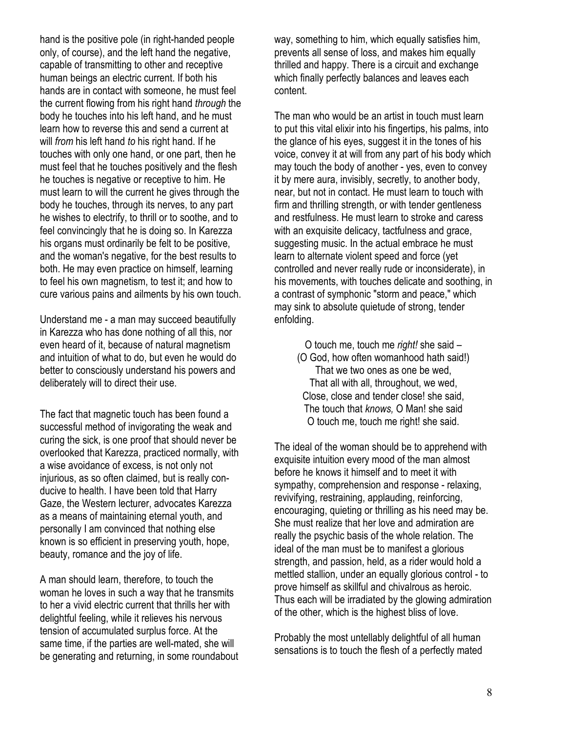hand is the positive pole (in right-handed people only, of course), and the left hand the negative, capable of transmitting to other and receptive human beings an electric current. If both his hands are in contact with someone, he must feel the current flowing from his right hand through the body he touches into his left hand, and he must learn how to reverse this and send a current at will from his left hand to his right hand. If he touches with only one hand, or one part, then he must feel that he touches positively and the flesh he touches is negative or receptive to him. He must learn to will the current he gives through the body he touches, through its nerves, to any part he wishes to electrify, to thrill or to soothe, and to feel convincingly that he is doing so. In Karezza his organs must ordinarily be felt to be positive, and the woman's negative, for the best results to both. He may even practice on himself, learning to feel his own magnetism, to test it; and how to cure various pains and ailments by his own touch.

Understand me - a man may succeed beautifully in Karezza who has done nothing of all this, nor even heard of it, because of natural magnetism and intuition of what to do, but even he would do better to consciously understand his powers and deliberately will to direct their use.

The fact that magnetic touch has been found a successful method of invigorating the weak and curing the sick, is one proof that should never be overlooked that Karezza, practiced normally, with a wise avoidance of excess, is not only not injurious, as so often claimed, but is really conducive to health. I have been told that Harry Gaze, the Western lecturer, advocates Karezza as a means of maintaining eternal youth, and personally I am convinced that nothing else known is so efficient in preserving youth, hope, beauty, romance and the joy of life.

A man should learn, therefore, to touch the woman he loves in such a way that he transmits to her a vivid electric current that thrills her with delightful feeling, while it relieves his nervous tension of accumulated surplus force. At the same time, if the parties are well-mated, she will be generating and returning, in some roundabout

way, something to him, which equally satisfies him, prevents all sense of loss, and makes him equally thrilled and happy. There is a circuit and exchange which finally perfectly balances and leaves each content.

The man who would be an artist in touch must learn to put this vital elixir into his fingertips, his palms, into the glance of his eyes, suggest it in the tones of his voice, convey it at will from any part of his body which may touch the body of another - yes, even to convey it by mere aura, invisibly, secretly, to another body, near, but not in contact. He must learn to touch with firm and thrilling strength, or with tender gentleness and restfulness. He must learn to stroke and caress with an exquisite delicacy, tactfulness and grace, suggesting music. In the actual embrace he must learn to alternate violent speed and force (yet controlled and never really rude or inconsiderate), in his movements, with touches delicate and soothing, in a contrast of symphonic "storm and peace," which may sink to absolute quietude of strong, tender enfolding.

O touch me, touch me right! she said – (O God, how often womanhood hath said!) That we two ones as one be wed, That all with all, throughout, we wed, Close, close and tender close! she said, The touch that knows, O Man! she said O touch me, touch me right! she said.

The ideal of the woman should be to apprehend with exquisite intuition every mood of the man almost before he knows it himself and to meet it with sympathy, comprehension and response - relaxing, revivifying, restraining, applauding, reinforcing, encouraging, quieting or thrilling as his need may be. She must realize that her love and admiration are really the psychic basis of the whole relation. The ideal of the man must be to manifest a glorious strength, and passion, held, as a rider would hold a mettled stallion, under an equally glorious control - to prove himself as skillful and chivalrous as heroic. Thus each will be irradiated by the glowing admiration of the other, which is the highest bliss of love.

Probably the most untellably delightful of all human sensations is to touch the flesh of a perfectly mated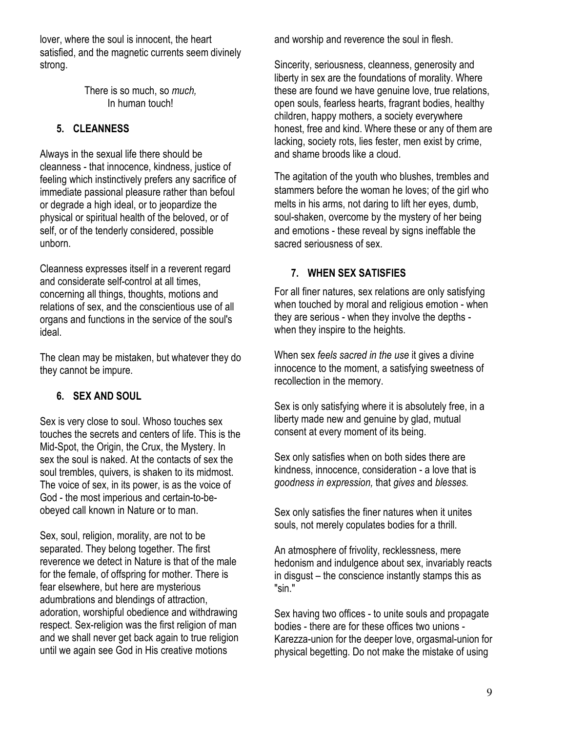lover, where the soul is innocent, the heart satisfied, and the magnetic currents seem divinely strong.

> There is so much, so much, In human touch!

# 5. CLEANNESS

Always in the sexual life there should be cleanness - that innocence, kindness, justice of feeling which instinctively prefers any sacrifice of immediate passional pleasure rather than befoul or degrade a high ideal, or to jeopardize the physical or spiritual health of the beloved, or of self, or of the tenderly considered, possible unborn.

Cleanness expresses itself in a reverent regard and considerate self-control at all times, concerning all things, thoughts, motions and relations of sex, and the conscientious use of all organs and functions in the service of the soul's ideal.

The clean may be mistaken, but whatever they do they cannot be impure.

# 6. SEX AND SOUL

Sex is very close to soul. Whoso touches sex touches the secrets and centers of life. This is the Mid-Spot, the Origin, the Crux, the Mystery. In sex the soul is naked. At the contacts of sex the soul trembles, quivers, is shaken to its midmost. The voice of sex, in its power, is as the voice of God - the most imperious and certain-to-beobeyed call known in Nature or to man.

Sex, soul, religion, morality, are not to be separated. They belong together. The first reverence we detect in Nature is that of the male for the female, of offspring for mother. There is fear elsewhere, but here are mysterious adumbrations and blendings of attraction, adoration, worshipful obedience and withdrawing respect. Sex-religion was the first religion of man and we shall never get back again to true religion until we again see God in His creative motions

and worship and reverence the soul in flesh.

Sincerity, seriousness, cleanness, generosity and liberty in sex are the foundations of morality. Where these are found we have genuine love, true relations, open souls, fearless hearts, fragrant bodies, healthy children, happy mothers, a society everywhere honest, free and kind. Where these or any of them are lacking, society rots, lies fester, men exist by crime, and shame broods like a cloud.

The agitation of the youth who blushes, trembles and stammers before the woman he loves; of the girl who melts in his arms, not daring to lift her eyes, dumb, soul-shaken, overcome by the mystery of her being and emotions - these reveal by signs ineffable the sacred seriousness of sex.

### 7. WHEN SEX SATISFIES

For all finer natures, sex relations are only satisfying when touched by moral and religious emotion - when they are serious - when they involve the depths when they inspire to the heights.

When sex feels sacred in the use it gives a divine innocence to the moment, a satisfying sweetness of recollection in the memory.

Sex is only satisfying where it is absolutely free, in a liberty made new and genuine by glad, mutual consent at every moment of its being.

Sex only satisfies when on both sides there are kindness, innocence, consideration - a love that is goodness in expression, that gives and blesses.

Sex only satisfies the finer natures when it unites souls, not merely copulates bodies for a thrill.

An atmosphere of frivolity, recklessness, mere hedonism and indulgence about sex, invariably reacts in disgust – the conscience instantly stamps this as "sin."

Sex having two offices - to unite souls and propagate bodies - there are for these offices two unions - Karezza-union for the deeper love, orgasmal-union for physical begetting. Do not make the mistake of using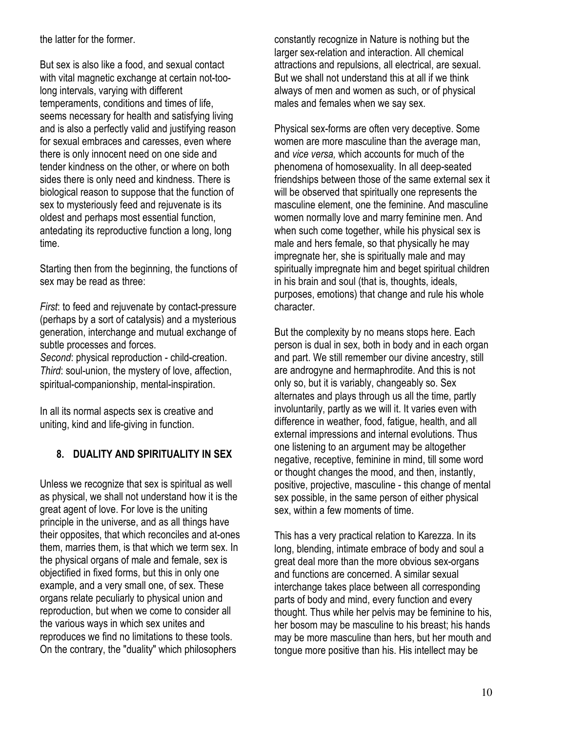the latter for the former.

But sex is also like a food, and sexual contact with vital magnetic exchange at certain not-toolong intervals, varying with different temperaments, conditions and times of life, seems necessary for health and satisfying living and is also a perfectly valid and justifying reason for sexual embraces and caresses, even where there is only innocent need on one side and tender kindness on the other, or where on both sides there is only need and kindness. There is biological reason to suppose that the function of sex to mysteriously feed and rejuvenate is its oldest and perhaps most essential function, antedating its reproductive function a long, long time.

Starting then from the beginning, the functions of sex may be read as three:

First: to feed and rejuvenate by contact-pressure (perhaps by a sort of catalysis) and a mysterious generation, interchange and mutual exchange of subtle processes and forces.

Second: physical reproduction - child-creation. Third: soul-union, the mystery of love, affection, spiritual-companionship, mental-inspiration.

In all its normal aspects sex is creative and uniting, kind and life-giving in function.

# 8. DUALITY AND SPIRITUALITY IN SEX

Unless we recognize that sex is spiritual as well as physical, we shall not understand how it is the great agent of love. For love is the uniting principle in the universe, and as all things have their opposites, that which reconciles and at-ones them, marries them, is that which we term sex. In the physical organs of male and female, sex is objectified in fixed forms, but this in only one example, and a very small one, of sex. These organs relate peculiarly to physical union and reproduction, but when we come to consider all the various ways in which sex unites and reproduces we find no limitations to these tools. On the contrary, the "duality" which philosophers

constantly recognize in Nature is nothing but the larger sex-relation and interaction. All chemical attractions and repulsions, all electrical, are sexual. But we shall not understand this at all if we think always of men and women as such, or of physical males and females when we say sex.

Physical sex-forms are often very deceptive. Some women are more masculine than the average man, and vice versa, which accounts for much of the phenomena of homosexuality. In all deep-seated friendships between those of the same external sex it will be observed that spiritually one represents the masculine element, one the feminine. And masculine women normally love and marry feminine men. And when such come together, while his physical sex is male and hers female, so that physically he may impregnate her, she is spiritually male and may spiritually impregnate him and beget spiritual children in his brain and soul (that is, thoughts, ideals, purposes, emotions) that change and rule his whole character.

But the complexity by no means stops here. Each person is dual in sex, both in body and in each organ and part. We still remember our divine ancestry, still are androgyne and hermaphrodite. And this is not only so, but it is variably, changeably so. Sex alternates and plays through us all the time, partly involuntarily, partly as we will it. It varies even with difference in weather, food, fatigue, health, and all external impressions and internal evolutions. Thus one listening to an argument may be altogether negative, receptive, feminine in mind, till some word or thought changes the mood, and then, instantly, positive, projective, masculine - this change of mental sex possible, in the same person of either physical sex, within a few moments of time.

This has a very practical relation to Karezza. In its long, blending, intimate embrace of body and soul a great deal more than the more obvious sex-organs and functions are concerned. A similar sexual interchange takes place between all corresponding parts of body and mind, every function and every thought. Thus while her pelvis may be feminine to his, her bosom may be masculine to his breast; his hands may be more masculine than hers, but her mouth and tongue more positive than his. His intellect may be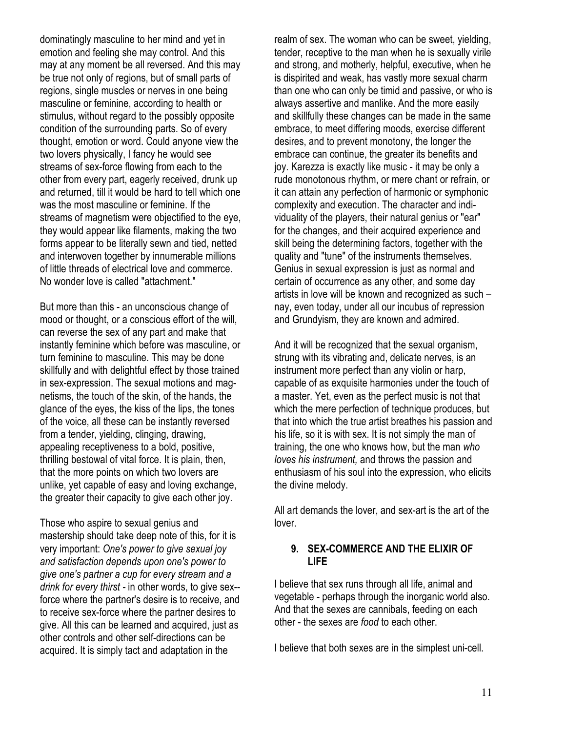dominatingly masculine to her mind and yet in emotion and feeling she may control. And this may at any moment be all reversed. And this may be true not only of regions, but of small parts of regions, single muscles or nerves in one being masculine or feminine, according to health or stimulus, without regard to the possibly opposite condition of the surrounding parts. So of every thought, emotion or word. Could anyone view the two lovers physically, I fancy he would see streams of sex-force flowing from each to the other from every part, eagerly received, drunk up and returned, till it would be hard to tell which one was the most masculine or feminine. If the streams of magnetism were objectified to the eye, they would appear like filaments, making the two forms appear to be literally sewn and tied, netted and interwoven together by innumerable millions of little threads of electrical love and commerce. No wonder love is called "attachment."

But more than this - an unconscious change of mood or thought, or a conscious effort of the will, can reverse the sex of any part and make that instantly feminine which before was masculine, or turn feminine to masculine. This may be done skillfully and with delightful effect by those trained in sex-expression. The sexual motions and magnetisms, the touch of the skin, of the hands, the glance of the eyes, the kiss of the lips, the tones of the voice, all these can be instantly reversed from a tender, yielding, clinging, drawing, appealing receptiveness to a bold, positive, thrilling bestowal of vital force. It is plain, then, that the more points on which two lovers are unlike, yet capable of easy and loving exchange, the greater their capacity to give each other joy.

Those who aspire to sexual genius and mastership should take deep note of this, for it is very important: One's power to give sexual joy and satisfaction depends upon one's power to give one's partner a cup for every stream and a drink for every thirst - in other words, to give sex- force where the partner's desire is to receive, and to receive sex-force where the partner desires to give. All this can be learned and acquired, just as other controls and other self-directions can be acquired. It is simply tact and adaptation in the

realm of sex. The woman who can be sweet, yielding, tender, receptive to the man when he is sexually virile and strong, and motherly, helpful, executive, when he is dispirited and weak, has vastly more sexual charm than one who can only be timid and passive, or who is always assertive and manlike. And the more easily and skillfully these changes can be made in the same embrace, to meet differing moods, exercise different desires, and to prevent monotony, the longer the embrace can continue, the greater its benefits and joy. Karezza is exactly like music - it may be only a rude monotonous rhythm, or mere chant or refrain, or it can attain any perfection of harmonic or symphonic complexity and execution. The character and individuality of the players, their natural genius or "ear" for the changes, and their acquired experience and skill being the determining factors, together with the quality and "tune" of the instruments themselves. Genius in sexual expression is just as normal and certain of occurrence as any other, and some day artists in love will be known and recognized as such – nay, even today, under all our incubus of repression and Grundyism, they are known and admired.

And it will be recognized that the sexual organism, strung with its vibrating and, delicate nerves, is an instrument more perfect than any violin or harp, capable of as exquisite harmonies under the touch of a master. Yet, even as the perfect music is not that which the mere perfection of technique produces, but that into which the true artist breathes his passion and his life, so it is with sex. It is not simply the man of training, the one who knows how, but the man who loves his instrument, and throws the passion and enthusiasm of his soul into the expression, who elicits the divine melody.

All art demands the lover, and sex-art is the art of the lover.

#### 9. SEX-COMMERCE AND THE ELIXIR OF LIFE

I believe that sex runs through all life, animal and vegetable - perhaps through the inorganic world also. And that the sexes are cannibals, feeding on each other - the sexes are food to each other.

I believe that both sexes are in the simplest uni-cell.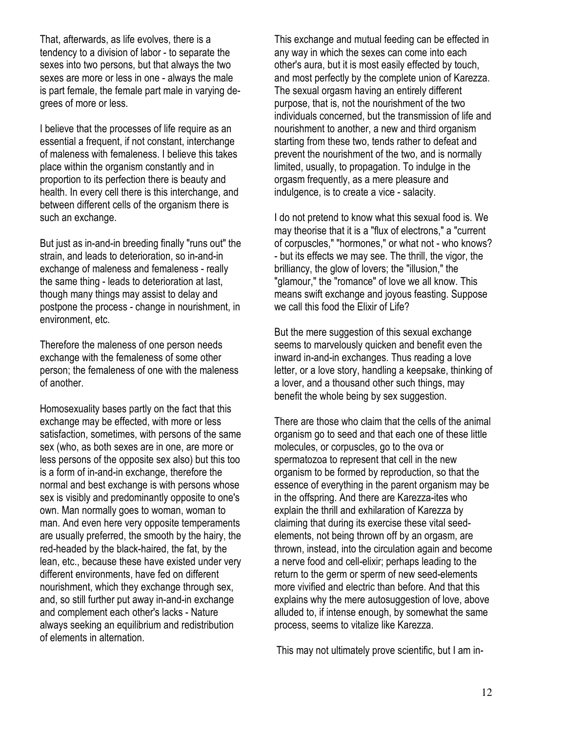That, afterwards, as life evolves, there is a tendency to a division of labor - to separate the sexes into two persons, but that always the two sexes are more or less in one - always the male is part female, the female part male in varying degrees of more or less.

I believe that the processes of life require as an essential a frequent, if not constant, interchange of maleness with femaleness. I believe this takes place within the organism constantly and in proportion to its perfection there is beauty and health. In every cell there is this interchange, and between different cells of the organism there is such an exchange.

But just as in-and-in breeding finally "runs out" the strain, and leads to deterioration, so in-and-in exchange of maleness and femaleness - really the same thing - leads to deterioration at last, though many things may assist to delay and postpone the process - change in nourishment, in environment, etc.

Therefore the maleness of one person needs exchange with the femaleness of some other person; the femaleness of one with the maleness of another.

Homosexuality bases partly on the fact that this exchange may be effected, with more or less satisfaction, sometimes, with persons of the same sex (who, as both sexes are in one, are more or less persons of the opposite sex also) but this too is a form of in-and-in exchange, therefore the normal and best exchange is with persons whose sex is visibly and predominantly opposite to one's own. Man normally goes to woman, woman to man. And even here very opposite temperaments are usually preferred, the smooth by the hairy, the red-headed by the black-haired, the fat, by the lean, etc., because these have existed under very different environments, have fed on different nourishment, which they exchange through sex, and, so still further put away in-and-in exchange and complement each other's lacks - Nature always seeking an equilibrium and redistribution of elements in alternation.

This exchange and mutual feeding can be effected in any way in which the sexes can come into each other's aura, but it is most easily effected by touch, and most perfectly by the complete union of Karezza. The sexual orgasm having an entirely different purpose, that is, not the nourishment of the two individuals concerned, but the transmission of life and nourishment to another, a new and third organism starting from these two, tends rather to defeat and prevent the nourishment of the two, and is normally limited, usually, to propagation. To indulge in the orgasm frequently, as a mere pleasure and indulgence, is to create a vice - salacity.

I do not pretend to know what this sexual food is. We may theorise that it is a "flux of electrons," a "current of corpuscles," "hormones," or what not - who knows? - but its effects we may see. The thrill, the vigor, the brilliancy, the glow of lovers; the "illusion," the "glamour," the "romance" of love we all know. This means swift exchange and joyous feasting. Suppose we call this food the Elixir of Life?

But the mere suggestion of this sexual exchange seems to marvelously quicken and benefit even the inward in-and-in exchanges. Thus reading a love letter, or a love story, handling a keepsake, thinking of a lover, and a thousand other such things, may benefit the whole being by sex suggestion.

There are those who claim that the cells of the animal organism go to seed and that each one of these little molecules, or corpuscles, go to the ova or spermatozoa to represent that cell in the new organism to be formed by reproduction, so that the essence of everything in the parent organism may be in the offspring. And there are Karezza-ites who explain the thrill and exhilaration of Karezza by claiming that during its exercise these vital seedelements, not being thrown off by an orgasm, are thrown, instead, into the circulation again and become a nerve food and cell-elixir; perhaps leading to the return to the germ or sperm of new seed-elements more vivified and electric than before. And that this explains why the mere autosuggestion of love, above alluded to, if intense enough, by somewhat the same process, seems to vitalize like Karezza.

This may not ultimately prove scientific, but I am in-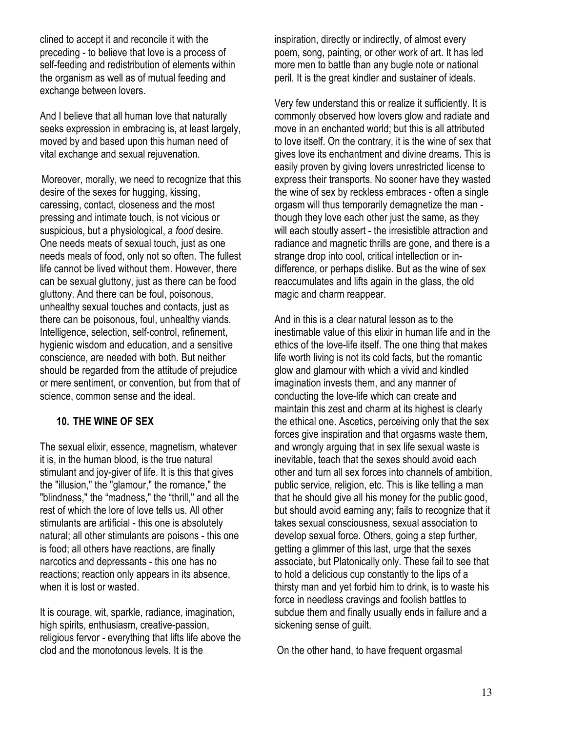clined to accept it and reconcile it with the preceding - to believe that love is a process of self-feeding and redistribution of elements within the organism as well as of mutual feeding and exchange between lovers.

And I believe that all human love that naturally seeks expression in embracing is, at least largely, moved by and based upon this human need of vital exchange and sexual rejuvenation.

Moreover, morally, we need to recognize that this desire of the sexes for hugging, kissing, caressing, contact, closeness and the most pressing and intimate touch, is not vicious or suspicious, but a physiological, a *food* desire. One needs meats of sexual touch, just as one needs meals of food, only not so often. The fullest life cannot be lived without them. However, there can be sexual gluttony, just as there can be food gluttony. And there can be foul, poisonous, unhealthy sexual touches and contacts, just as there can be poisonous, foul, unhealthy viands. Intelligence, selection, self-control, refinement, hygienic wisdom and education, and a sensitive conscience, are needed with both. But neither should be regarded from the attitude of prejudice or mere sentiment, or convention, but from that of science, common sense and the ideal.

#### 10. THE WINE OF SEX

The sexual elixir, essence, magnetism, whatever it is, in the human blood, is the true natural stimulant and joy-giver of life. It is this that gives the "illusion," the "glamour," the romance," the "blindness," the "madness," the "thrill," and all the rest of which the lore of love tells us. All other stimulants are artificial - this one is absolutely natural; all other stimulants are poisons - this one is food; all others have reactions, are finally narcotics and depressants - this one has no reactions; reaction only appears in its absence, when it is lost or wasted.

It is courage, wit, sparkle, radiance, imagination, high spirits, enthusiasm, creative-passion, religious fervor - everything that lifts life above the clod and the monotonous levels. It is the

inspiration, directly or indirectly, of almost every poem, song, painting, or other work of art. It has led more men to battle than any bugle note or national peril. It is the great kindler and sustainer of ideals.

Very few understand this or realize it sufficiently. It is commonly observed how lovers glow and radiate and move in an enchanted world; but this is all attributed to love itself. On the contrary, it is the wine of sex that gives love its enchantment and divine dreams. This is easily proven by giving lovers unrestricted license to express their transports. No sooner have they wasted the wine of sex by reckless embraces - often a single orgasm will thus temporarily demagnetize the man though they love each other just the same, as they will each stoutly assert - the irresistible attraction and radiance and magnetic thrills are gone, and there is a strange drop into cool, critical intellection or indifference, or perhaps dislike. But as the wine of sex reaccumulates and lifts again in the glass, the old magic and charm reappear.

And in this is a clear natural lesson as to the inestimable value of this elixir in human life and in the ethics of the love-life itself. The one thing that makes life worth living is not its cold facts, but the romantic glow and glamour with which a vivid and kindled imagination invests them, and any manner of conducting the love-life which can create and maintain this zest and charm at its highest is clearly the ethical one. Ascetics, perceiving only that the sex forces give inspiration and that orgasms waste them, and wrongly arguing that in sex life sexual waste is inevitable, teach that the sexes should avoid each other and turn all sex forces into channels of ambition, public service, religion, etc. This is like telling a man that he should give all his money for the public good, but should avoid earning any; fails to recognize that it takes sexual consciousness, sexual association to develop sexual force. Others, going a step further, getting a glimmer of this last, urge that the sexes associate, but Platonically only. These fail to see that to hold a delicious cup constantly to the lips of a thirsty man and yet forbid him to drink, is to waste his force in needless cravings and foolish battles to subdue them and finally usually ends in failure and a sickening sense of guilt.

On the other hand, to have frequent orgasmal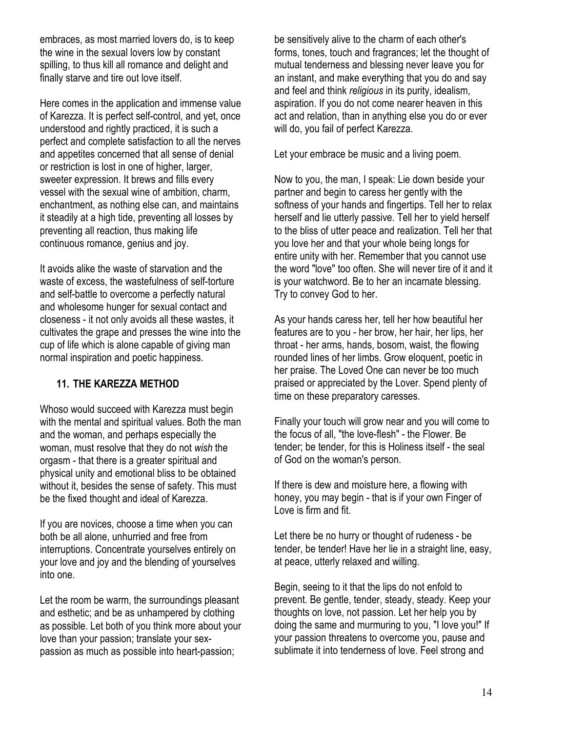embraces, as most married lovers do, is to keep the wine in the sexual lovers low by constant spilling, to thus kill all romance and delight and finally starve and tire out love itself.

Here comes in the application and immense value of Karezza. It is perfect self-control, and yet, once understood and rightly practiced, it is such a perfect and complete satisfaction to all the nerves and appetites concerned that all sense of denial or restriction is lost in one of higher, larger, sweeter expression. It brews and fills every vessel with the sexual wine of ambition, charm, enchantment, as nothing else can, and maintains it steadily at a high tide, preventing all losses by preventing all reaction, thus making life continuous romance, genius and joy.

It avoids alike the waste of starvation and the waste of excess, the wastefulness of self-torture and self-battle to overcome a perfectly natural and wholesome hunger for sexual contact and closeness - it not only avoids all these wastes, it cultivates the grape and presses the wine into the cup of life which is alone capable of giving man normal inspiration and poetic happiness.

### 11. THE KAREZZA METHOD

Whoso would succeed with Karezza must begin with the mental and spiritual values. Both the man and the woman, and perhaps especially the woman, must resolve that they do not wish the orgasm - that there is a greater spiritual and physical unity and emotional bliss to be obtained without it, besides the sense of safety. This must be the fixed thought and ideal of Karezza.

If you are novices, choose a time when you can both be all alone, unhurried and free from interruptions. Concentrate yourselves entirely on your love and joy and the blending of yourselves into one.

Let the room be warm, the surroundings pleasant and esthetic; and be as unhampered by clothing as possible. Let both of you think more about your love than your passion; translate your sexpassion as much as possible into heart-passion;

be sensitively alive to the charm of each other's forms, tones, touch and fragrances; let the thought of mutual tenderness and blessing never leave you for an instant, and make everything that you do and say and feel and think religious in its purity, idealism, aspiration. If you do not come nearer heaven in this act and relation, than in anything else you do or ever will do, you fail of perfect Karezza.

Let your embrace be music and a living poem.

Now to you, the man, I speak: Lie down beside your partner and begin to caress her gently with the softness of your hands and fingertips. Tell her to relax herself and lie utterly passive. Tell her to yield herself to the bliss of utter peace and realization. Tell her that you love her and that your whole being longs for entire unity with her. Remember that you cannot use the word "love" too often. She will never tire of it and it is your watchword. Be to her an incarnate blessing. Try to convey God to her.

As your hands caress her, tell her how beautiful her features are to you - her brow, her hair, her lips, her throat - her arms, hands, bosom, waist, the flowing rounded lines of her limbs. Grow eloquent, poetic in her praise. The Loved One can never be too much praised or appreciated by the Lover. Spend plenty of time on these preparatory caresses.

Finally your touch will grow near and you will come to the focus of all, "the love-flesh" - the Flower. Be tender; be tender, for this is Holiness itself - the seal of God on the woman's person.

If there is dew and moisture here, a flowing with honey, you may begin - that is if your own Finger of Love is firm and fit.

Let there be no hurry or thought of rudeness - be tender, be tender! Have her lie in a straight line, easy, at peace, utterly relaxed and willing.

Begin, seeing to it that the lips do not enfold to prevent. Be gentle, tender, steady, steady. Keep your thoughts on love, not passion. Let her help you by doing the same and murmuring to you, "I love you!" If your passion threatens to overcome you, pause and sublimate it into tenderness of love. Feel strong and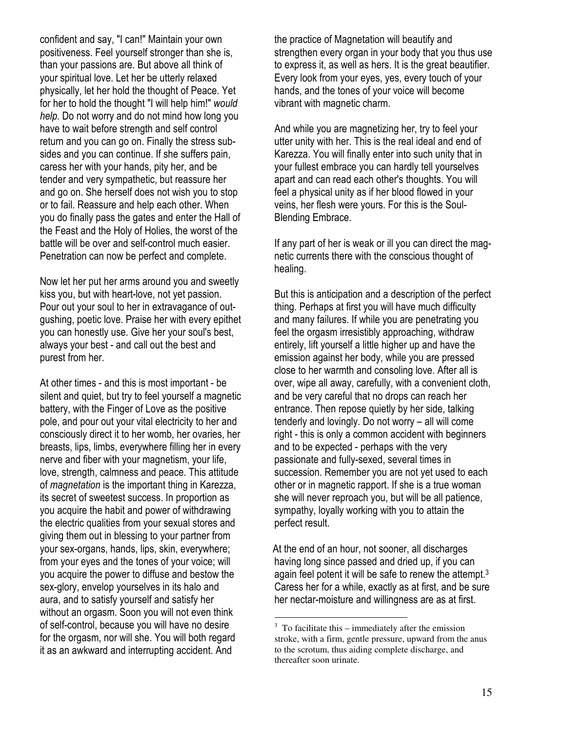confident and say, "I can!" Maintain your own positiveness. Feel yourself stronger than she is, than your passions are. But above all think of your spiritual love. Let her be utterly relaxed physically, let her hold the thought of Peace. Yet for her to hold the thought "I will help him!" would help. Do not worry and do not mind how long you have to wait before strength and self control return and you can go on. Finally the stress subsides and you can continue. If she suffers pain, caress her with your hands, pity her, and be tender and very sympathetic, but reassure her and go on. She herself does not wish you to stop or to fail. Reassure and help each other. When you do finally pass the gates and enter the Hall of the Feast and the Holy of Holies, the worst of the battle will be over and self-control much easier. Penetration can now be perfect and complete.

Now let her put her arms around you and sweetly kiss you, but with heart-love, not yet passion. Pour out your soul to her in extravagance of outgushing, poetic love. Praise her with every epithet you can honestly use. Give her your soul's best, always your best - and call out the best and purest from her.

At other times - and this is most important - be silent and quiet, but try to feel yourself a magnetic battery, with the Finger of Love as the positive pole, and pour out your vital electricity to her and consciously direct it to her womb, her ovaries, her breasts, lips, limbs, everywhere filling her in every nerve and fiber with your magnetism, your life, love, strength, calmness and peace. This attitude of magnetation is the important thing in Karezza, its secret of sweetest success. In proportion as you acquire the habit and power of withdrawing the electric qualities from your sexual stores and giving them out in blessing to your partner from your sex-organs, hands, lips, skin, everywhere; from your eyes and the tones of your voice; will you acquire the power to diffuse and bestow the sex-glory, envelop yourselves in its halo and aura, and to satisfy yourself and satisfy her without an orgasm. Soon you will not even think of self-control, because you will have no desire for the orgasm, nor will she. You will both regard it as an awkward and interrupting accident. And

the practice of Magnetation will beautify and strengthen every organ in your body that you thus use to express it, as well as hers. It is the great beautifier. Every look from your eyes, yes, every touch of your hands, and the tones of your voice will become vibrant with magnetic charm.

And while you are magnetizing her, try to feel your utter unity with her. This is the real ideal and end of Karezza. You will finally enter into such unity that in your fullest embrace you can hardly tell yourselves apart and can read each other's thoughts. You will feel a physical unity as if her blood flowed in your veins, her flesh were yours. For this is the Soul-Blending Embrace.

If any part of her is weak or ill you can direct the magnetic currents there with the conscious thought of healing.

But this is anticipation and a description of the perfect thing. Perhaps at first you will have much difficulty and many failures. If while you are penetrating you feel the orgasm irresistibly approaching, withdraw entirely, lift yourself a little higher up and have the emission against her body, while you are pressed close to her warmth and consoling love. After all is over, wipe all away, carefully, with a convenient cloth, and be very careful that no drops can reach her entrance. Then repose quietly by her side, talking tenderly and lovingly. Do not worry – all will come right - this is only a common accident with beginners and to be expected - perhaps with the very passionate and fully-sexed, several times in succession. Remember you are not yet used to each other or in magnetic rapport. If she is a true woman she will never reproach you, but will be all patience, sympathy, loyally working with you to attain the perfect result.

 At the end of an hour, not sooner, all discharges having long since passed and dried up, if you can again feel potent it will be safe to renew the attempt.<sup>3</sup> Caress her for a while, exactly as at first, and be sure her nectar-moisture and willingness are as at first.

-

 $3\,$  To facilitate this – immediately after the emission stroke, with a firm, gentle pressure, upward from the anus to the scrotum, thus aiding complete discharge, and thereafter soon urinate.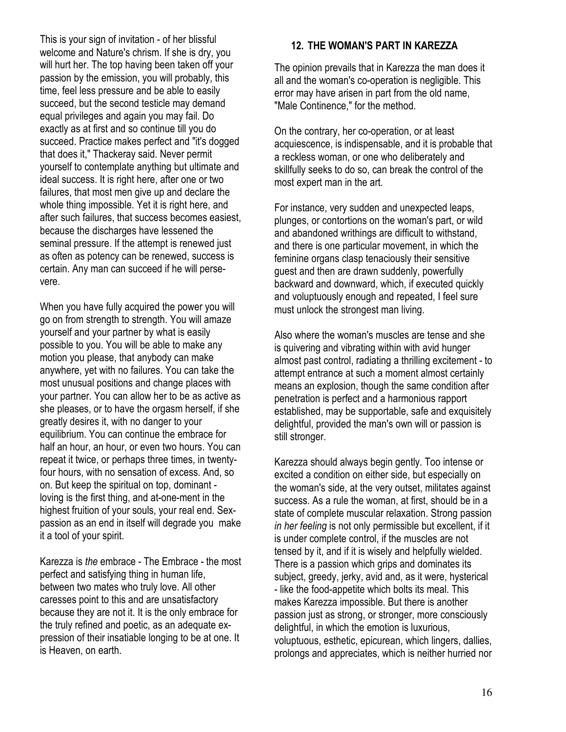This is your sign of invitation - of her blissful welcome and Nature's chrism. If she is dry, you will hurt her. The top having been taken off your passion by the emission, you will probably, this time, feel less pressure and be able to easily succeed, but the second testicle may demand equal privileges and again you may fail. Do exactly as at first and so continue till you do succeed. Practice makes perfect and "it's dogged that does it," Thackeray said. Never permit yourself to contemplate anything but ultimate and ideal success. It is right here, after one or two failures, that most men give up and declare the whole thing impossible. Yet it is right here, and after such failures, that success becomes easiest, because the discharges have lessened the seminal pressure. If the attempt is renewed just as often as potency can be renewed, success is certain. Any man can succeed if he will persevere.

When you have fully acquired the power you will go on from strength to strength. You will amaze yourself and your partner by what is easily possible to you. You will be able to make any motion you please, that anybody can make anywhere, yet with no failures. You can take the most unusual positions and change places with your partner. You can allow her to be as active as she pleases, or to have the orgasm herself, if she greatly desires it, with no danger to your equilibrium. You can continue the embrace for half an hour, an hour, or even two hours. You can repeat it twice, or perhaps three times, in twentyfour hours, with no sensation of excess. And, so on. But keep the spiritual on top, dominant loving is the first thing, and at-one-ment in the highest fruition of your souls, your real end. Sexpassion as an end in itself will degrade you make it a tool of your spirit.

Karezza is the embrace - The Embrace - the most perfect and satisfying thing in human life, between two mates who truly love. All other caresses point to this and are unsatisfactory because they are not it. It is the only embrace for the truly refined and poetic, as an adequate expression of their insatiable longing to be at one. It is Heaven, on earth.

### 12. THE WOMAN'S PART IN KAREZZA

The opinion prevails that in Karezza the man does it all and the woman's co-operation is negligible. This error may have arisen in part from the old name, "Male Continence," for the method.

On the contrary, her co-operation, or at least acquiescence, is indispensable, and it is probable that a reckless woman, or one who deliberately and skillfully seeks to do so, can break the control of the most expert man in the art.

For instance, very sudden and unexpected leaps, plunges, or contortions on the woman's part, or wild and abandoned writhings are difficult to withstand, and there is one particular movement, in which the feminine organs clasp tenaciously their sensitive guest and then are drawn suddenly, powerfully backward and downward, which, if executed quickly and voluptuously enough and repeated, I feel sure must unlock the strongest man living.

Also where the woman's muscles are tense and she is quivering and vibrating within with avid hunger almost past control, radiating a thrilling excitement - to attempt entrance at such a moment almost certainly means an explosion, though the same condition after penetration is perfect and a harmonious rapport established, may be supportable, safe and exquisitely delightful, provided the man's own will or passion is still stronger.

Karezza should always begin gently. Too intense or excited a condition on either side, but especially on the woman's side, at the very outset, militates against success. As a rule the woman, at first, should be in a state of complete muscular relaxation. Strong passion in her feeling is not only permissible but excellent, if it is under complete control, if the muscles are not tensed by it, and if it is wisely and helpfully wielded. There is a passion which grips and dominates its subject, greedy, jerky, avid and, as it were, hysterical - like the food-appetite which bolts its meal. This makes Karezza impossible. But there is another passion just as strong, or stronger, more consciously delightful, in which the emotion is luxurious, voluptuous, esthetic, epicurean, which lingers, dallies, prolongs and appreciates, which is neither hurried nor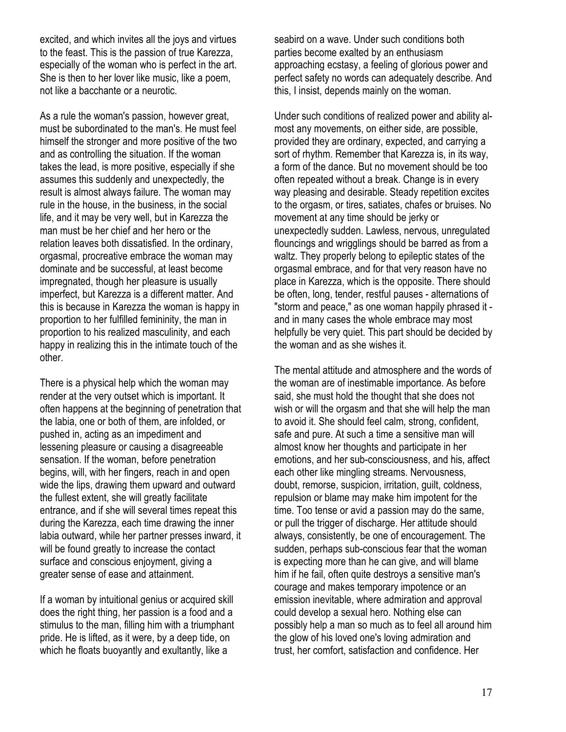excited, and which invites all the joys and virtues to the feast. This is the passion of true Karezza, especially of the woman who is perfect in the art. She is then to her lover like music, like a poem, not like a bacchante or a neurotic.

As a rule the woman's passion, however great, must be subordinated to the man's. He must feel himself the stronger and more positive of the two and as controlling the situation. If the woman takes the lead, is more positive, especially if she assumes this suddenly and unexpectedly, the result is almost always failure. The woman may rule in the house, in the business, in the social life, and it may be very well, but in Karezza the man must be her chief and her hero or the relation leaves both dissatisfied. In the ordinary, orgasmal, procreative embrace the woman may dominate and be successful, at least become impregnated, though her pleasure is usually imperfect, but Karezza is a different matter. And this is because in Karezza the woman is happy in proportion to her fulfilled femininity, the man in proportion to his realized masculinity, and each happy in realizing this in the intimate touch of the other.

There is a physical help which the woman may render at the very outset which is important. It often happens at the beginning of penetration that the labia, one or both of them, are infolded, or pushed in, acting as an impediment and lessening pleasure or causing a disagreeable sensation. If the woman, before penetration begins, will, with her fingers, reach in and open wide the lips, drawing them upward and outward the fullest extent, she will greatly facilitate entrance, and if she will several times repeat this during the Karezza, each time drawing the inner labia outward, while her partner presses inward, it will be found greatly to increase the contact surface and conscious enjoyment, giving a greater sense of ease and attainment.

If a woman by intuitional genius or acquired skill does the right thing, her passion is a food and a stimulus to the man, filling him with a triumphant pride. He is lifted, as it were, by a deep tide, on which he floats buoyantly and exultantly, like a

seabird on a wave. Under such conditions both parties become exalted by an enthusiasm approaching ecstasy, a feeling of glorious power and perfect safety no words can adequately describe. And this, I insist, depends mainly on the woman.

Under such conditions of realized power and ability almost any movements, on either side, are possible, provided they are ordinary, expected, and carrying a sort of rhythm. Remember that Karezza is, in its way, a form of the dance. But no movement should be too often repeated without a break. Change is in every way pleasing and desirable. Steady repetition excites to the orgasm, or tires, satiates, chafes or bruises. No movement at any time should be jerky or unexpectedly sudden. Lawless, nervous, unregulated flouncings and wrigglings should be barred as from a waltz. They properly belong to epileptic states of the orgasmal embrace, and for that very reason have no place in Karezza, which is the opposite. There should be often, long, tender, restful pauses - alternations of "storm and peace," as one woman happily phrased it and in many cases the whole embrace may most helpfully be very quiet. This part should be decided by the woman and as she wishes it.

The mental attitude and atmosphere and the words of the woman are of inestimable importance. As before said, she must hold the thought that she does not wish or will the orgasm and that she will help the man to avoid it. She should feel calm, strong, confident, safe and pure. At such a time a sensitive man will almost know her thoughts and participate in her emotions, and her sub-consciousness, and his, affect each other like mingling streams. Nervousness, doubt, remorse, suspicion, irritation, guilt, coldness, repulsion or blame may make him impotent for the time. Too tense or avid a passion may do the same, or pull the trigger of discharge. Her attitude should always, consistently, be one of encouragement. The sudden, perhaps sub-conscious fear that the woman is expecting more than he can give, and will blame him if he fail, often quite destroys a sensitive man's courage and makes temporary impotence or an emission inevitable, where admiration and approval could develop a sexual hero. Nothing else can possibly help a man so much as to feel all around him the glow of his loved one's loving admiration and trust, her comfort, satisfaction and confidence. Her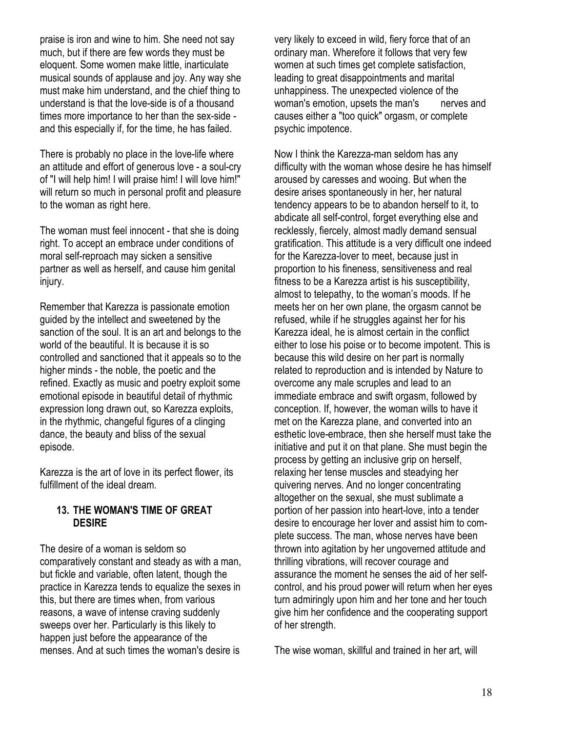praise is iron and wine to him. She need not say much, but if there are few words they must be eloquent. Some women make little, inarticulate musical sounds of applause and joy. Any way she must make him understand, and the chief thing to understand is that the love-side is of a thousand times more importance to her than the sex-side and this especially if, for the time, he has failed.

There is probably no place in the love-life where an attitude and effort of generous love - a soul-cry of "I will help him! I will praise him! I will love him!" will return so much in personal profit and pleasure to the woman as right here.

The woman must feel innocent - that she is doing right. To accept an embrace under conditions of moral self-reproach may sicken a sensitive partner as well as herself, and cause him genital injury.

Remember that Karezza is passionate emotion guided by the intellect and sweetened by the sanction of the soul. It is an art and belongs to the world of the beautiful. It is because it is so controlled and sanctioned that it appeals so to the higher minds - the noble, the poetic and the refined. Exactly as music and poetry exploit some emotional episode in beautiful detail of rhythmic expression long drawn out, so Karezza exploits, in the rhythmic, changeful figures of a clinging dance, the beauty and bliss of the sexual episode.

Karezza is the art of love in its perfect flower, its fulfillment of the ideal dream.

#### 13. THE WOMAN'S TIME OF GREAT **DESIRE**

The desire of a woman is seldom so comparatively constant and steady as with a man, but fickle and variable, often latent, though the practice in Karezza tends to equalize the sexes in this, but there are times when, from various reasons, a wave of intense craving suddenly sweeps over her. Particularly is this likely to happen just before the appearance of the menses. And at such times the woman's desire is

very likely to exceed in wild, fiery force that of an ordinary man. Wherefore it follows that very few women at such times get complete satisfaction, leading to great disappointments and marital unhappiness. The unexpected violence of the woman's emotion, upsets the man's nerves and causes either a "too quick" orgasm, or complete psychic impotence.

Now I think the Karezza-man seldom has any difficulty with the woman whose desire he has himself aroused by caresses and wooing. But when the desire arises spontaneously in her, her natural tendency appears to be to abandon herself to it, to abdicate all self-control, forget everything else and recklessly, fiercely, almost madly demand sensual gratification. This attitude is a very difficult one indeed for the Karezza-lover to meet, because just in proportion to his fineness, sensitiveness and real fitness to be a Karezza artist is his susceptibility, almost to telepathy, to the woman's moods. If he meets her on her own plane, the orgasm cannot be refused, while if he struggles against her for his Karezza ideal, he is almost certain in the conflict either to lose his poise or to become impotent. This is because this wild desire on her part is normally related to reproduction and is intended by Nature to overcome any male scruples and lead to an immediate embrace and swift orgasm, followed by conception. If, however, the woman wills to have it met on the Karezza plane, and converted into an esthetic love-embrace, then she herself must take the initiative and put it on that plane. She must begin the process by getting an inclusive grip on herself, relaxing her tense muscles and steadying her quivering nerves. And no longer concentrating altogether on the sexual, she must sublimate a portion of her passion into heart-love, into a tender desire to encourage her lover and assist him to complete success. The man, whose nerves have been thrown into agitation by her ungoverned attitude and thrilling vibrations, will recover courage and assurance the moment he senses the aid of her selfcontrol, and his proud power will return when her eyes turn admiringly upon him and her tone and her touch give him her confidence and the cooperating support of her strength.

The wise woman, skillful and trained in her art, will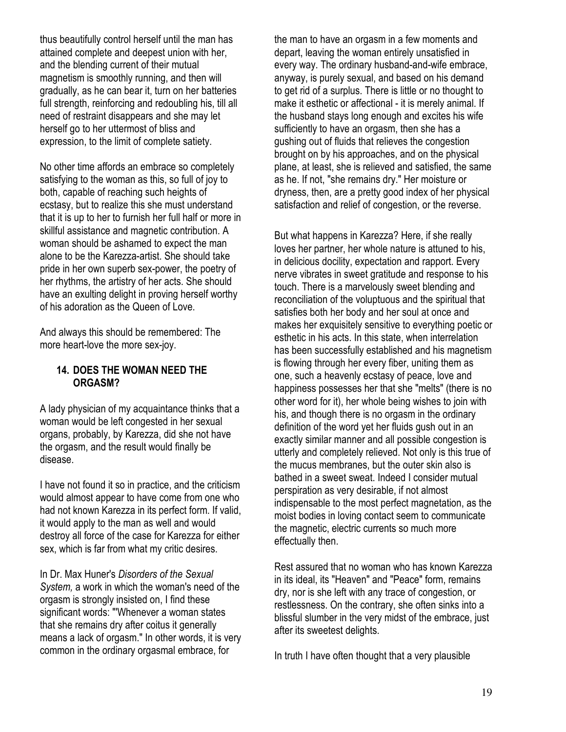thus beautifully control herself until the man has attained complete and deepest union with her, and the blending current of their mutual magnetism is smoothly running, and then will gradually, as he can bear it, turn on her batteries full strength, reinforcing and redoubling his, till all need of restraint disappears and she may let herself go to her uttermost of bliss and expression, to the limit of complete satiety.

No other time affords an embrace so completely satisfying to the woman as this, so full of joy to both, capable of reaching such heights of ecstasy, but to realize this she must understand that it is up to her to furnish her full half or more in skillful assistance and magnetic contribution. A woman should be ashamed to expect the man alone to be the Karezza-artist. She should take pride in her own superb sex-power, the poetry of her rhythms, the artistry of her acts. She should have an exulting delight in proving herself worthy of his adoration as the Queen of Love.

And always this should be remembered: The more heart-love the more sex-joy.

#### 14. DOES THE WOMAN NEED THE ORGASM?

A lady physician of my acquaintance thinks that a woman would be left congested in her sexual organs, probably, by Karezza, did she not have the orgasm, and the result would finally be disease.

I have not found it so in practice, and the criticism would almost appear to have come from one who had not known Karezza in its perfect form. If valid, it would apply to the man as well and would destroy all force of the case for Karezza for either sex, which is far from what my critic desires.

In Dr. Max Huner's Disorders of the Sexual System, a work in which the woman's need of the orgasm is strongly insisted on, I find these significant words: "'Whenever a woman states that she remains dry after coitus it generally means a lack of orgasm." In other words, it is very common in the ordinary orgasmal embrace, for

the man to have an orgasm in a few moments and depart, leaving the woman entirely unsatisfied in every way. The ordinary husband-and-wife embrace, anyway, is purely sexual, and based on his demand to get rid of a surplus. There is little or no thought to make it esthetic or affectional - it is merely animal. If the husband stays long enough and excites his wife sufficiently to have an orgasm, then she has a gushing out of fluids that relieves the congestion brought on by his approaches, and on the physical plane, at least, she is relieved and satisfied, the same as he. If not, "she remains dry." Her moisture or dryness, then, are a pretty good index of her physical satisfaction and relief of congestion, or the reverse.

But what happens in Karezza? Here, if she really loves her partner, her whole nature is attuned to his, in delicious docility, expectation and rapport. Every nerve vibrates in sweet gratitude and response to his touch. There is a marvelously sweet blending and reconciliation of the voluptuous and the spiritual that satisfies both her body and her soul at once and makes her exquisitely sensitive to everything poetic or esthetic in his acts. In this state, when interrelation has been successfully established and his magnetism is flowing through her every fiber, uniting them as one, such a heavenly ecstasy of peace, love and happiness possesses her that she "melts" (there is no other word for it), her whole being wishes to join with his, and though there is no orgasm in the ordinary definition of the word yet her fluids gush out in an exactly similar manner and all possible congestion is utterly and completely relieved. Not only is this true of the mucus membranes, but the outer skin also is bathed in a sweet sweat. Indeed I consider mutual perspiration as very desirable, if not almost indispensable to the most perfect magnetation, as the moist bodies in loving contact seem to communicate the magnetic, electric currents so much more effectually then.

Rest assured that no woman who has known Karezza in its ideal, its "Heaven" and "Peace" form, remains dry, nor is she left with any trace of congestion, or restlessness. On the contrary, she often sinks into a blissful slumber in the very midst of the embrace, just after its sweetest delights.

In truth I have often thought that a very plausible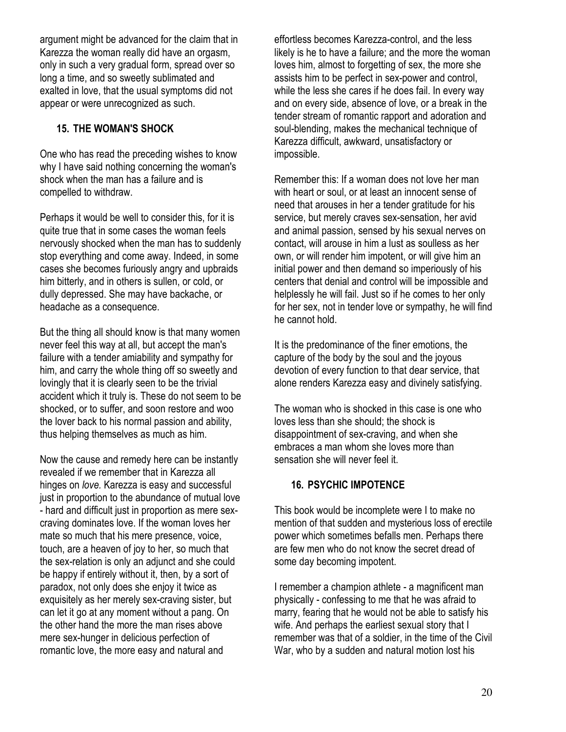argument might be advanced for the claim that in Karezza the woman really did have an orgasm, only in such a very gradual form, spread over so long a time, and so sweetly sublimated and exalted in love, that the usual symptoms did not appear or were unrecognized as such.

### 15. THE WOMAN'S SHOCK

One who has read the preceding wishes to know why I have said nothing concerning the woman's shock when the man has a failure and is compelled to withdraw.

Perhaps it would be well to consider this, for it is quite true that in some cases the woman feels nervously shocked when the man has to suddenly stop everything and come away. Indeed, in some cases she becomes furiously angry and upbraids him bitterly, and in others is sullen, or cold, or dully depressed. She may have backache, or headache as a consequence.

But the thing all should know is that many women never feel this way at all, but accept the man's failure with a tender amiability and sympathy for him, and carry the whole thing off so sweetly and lovingly that it is clearly seen to be the trivial accident which it truly is. These do not seem to be shocked, or to suffer, and soon restore and woo the lover back to his normal passion and ability, thus helping themselves as much as him.

Now the cause and remedy here can be instantly revealed if we remember that in Karezza all hinges on love. Karezza is easy and successful just in proportion to the abundance of mutual love - hard and difficult just in proportion as mere sexcraving dominates love. If the woman loves her mate so much that his mere presence, voice, touch, are a heaven of joy to her, so much that the sex-relation is only an adjunct and she could be happy if entirely without it, then, by a sort of paradox, not only does she enjoy it twice as exquisitely as her merely sex-craving sister, but can let it go at any moment without a pang. On the other hand the more the man rises above mere sex-hunger in delicious perfection of romantic love, the more easy and natural and

effortless becomes Karezza-control, and the less likely is he to have a failure; and the more the woman loves him, almost to forgetting of sex, the more she assists him to be perfect in sex-power and control, while the less she cares if he does fail. In every way and on every side, absence of love, or a break in the tender stream of romantic rapport and adoration and soul-blending, makes the mechanical technique of Karezza difficult, awkward, unsatisfactory or impossible.

Remember this: If a woman does not love her man with heart or soul, or at least an innocent sense of need that arouses in her a tender gratitude for his service, but merely craves sex-sensation, her avid and animal passion, sensed by his sexual nerves on contact, will arouse in him a lust as soulless as her own, or will render him impotent, or will give him an initial power and then demand so imperiously of his centers that denial and control will be impossible and helplessly he will fail. Just so if he comes to her only for her sex, not in tender love or sympathy, he will find he cannot hold.

It is the predominance of the finer emotions, the capture of the body by the soul and the joyous devotion of every function to that dear service, that alone renders Karezza easy and divinely satisfying.

The woman who is shocked in this case is one who loves less than she should; the shock is disappointment of sex-craving, and when she embraces a man whom she loves more than sensation she will never feel it.

### 16. PSYCHIC IMPOTENCE

This book would be incomplete were I to make no mention of that sudden and mysterious loss of erectile power which sometimes befalls men. Perhaps there are few men who do not know the secret dread of some day becoming impotent.

I remember a champion athlete - a magnificent man physically - confessing to me that he was afraid to marry, fearing that he would not be able to satisfy his wife. And perhaps the earliest sexual story that I remember was that of a soldier, in the time of the Civil War, who by a sudden and natural motion lost his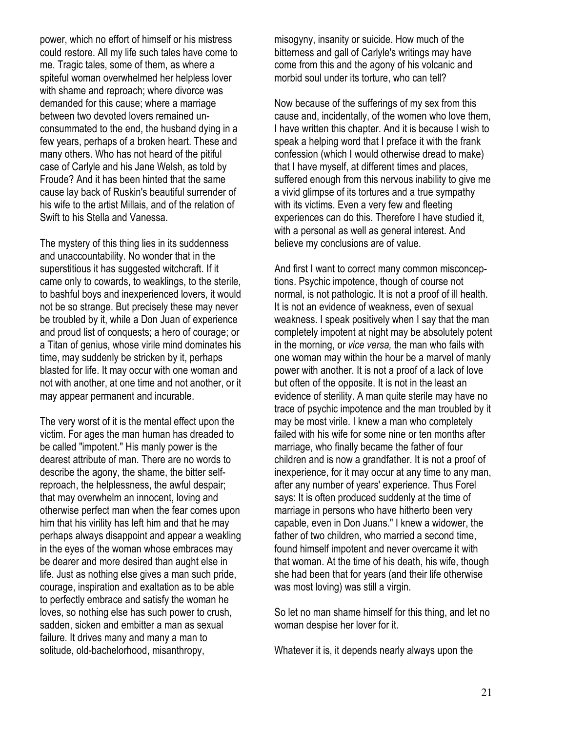power, which no effort of himself or his mistress could restore. All my life such tales have come to me. Tragic tales, some of them, as where a spiteful woman overwhelmed her helpless lover with shame and reproach; where divorce was demanded for this cause; where a marriage between two devoted lovers remained unconsummated to the end, the husband dying in a few years, perhaps of a broken heart. These and many others. Who has not heard of the pitiful case of Carlyle and his Jane Welsh, as told by Froude? And it has been hinted that the same cause lay back of Ruskin's beautiful surrender of his wife to the artist Millais, and of the relation of Swift to his Stella and Vanessa.

The mystery of this thing lies in its suddenness and unaccountability. No wonder that in the superstitious it has suggested witchcraft. If it came only to cowards, to weaklings, to the sterile, to bashful boys and inexperienced lovers, it would not be so strange. But precisely these may never be troubled by it, while a Don Juan of experience and proud list of conquests; a hero of courage; or a Titan of genius, whose virile mind dominates his time, may suddenly be stricken by it, perhaps blasted for life. It may occur with one woman and not with another, at one time and not another, or it may appear permanent and incurable.

The very worst of it is the mental effect upon the victim. For ages the man human has dreaded to be called "impotent." His manly power is the dearest attribute of man. There are no words to describe the agony, the shame, the bitter selfreproach, the helplessness, the awful despair; that may overwhelm an innocent, loving and otherwise perfect man when the fear comes upon him that his virility has left him and that he may perhaps always disappoint and appear a weakling in the eyes of the woman whose embraces may be dearer and more desired than aught else in life. Just as nothing else gives a man such pride, courage, inspiration and exaltation as to be able to perfectly embrace and satisfy the woman he loves, so nothing else has such power to crush, sadden, sicken and embitter a man as sexual failure. It drives many and many a man to solitude, old-bachelorhood, misanthropy,

misogyny, insanity or suicide. How much of the bitterness and gall of Carlyle's writings may have come from this and the agony of his volcanic and morbid soul under its torture, who can tell?

Now because of the sufferings of my sex from this cause and, incidentally, of the women who love them, I have written this chapter. And it is because I wish to speak a helping word that I preface it with the frank confession (which I would otherwise dread to make) that I have myself, at different times and places, suffered enough from this nervous inability to give me a vivid glimpse of its tortures and a true sympathy with its victims. Even a very few and fleeting experiences can do this. Therefore I have studied it, with a personal as well as general interest. And believe my conclusions are of value.

And first I want to correct many common misconceptions. Psychic impotence, though of course not normal, is not pathologic. It is not a proof of ill health. It is not an evidence of weakness, even of sexual weakness. I speak positively when I say that the man completely impotent at night may be absolutely potent in the morning, or vice versa, the man who fails with one woman may within the hour be a marvel of manly power with another. It is not a proof of a lack of love but often of the opposite. It is not in the least an evidence of sterility. A man quite sterile may have no trace of psychic impotence and the man troubled by it may be most virile. I knew a man who completely failed with his wife for some nine or ten months after marriage, who finally became the father of four children and is now a grandfather. It is not a proof of inexperience, for it may occur at any time to any man, after any number of years' experience. Thus Forel says: It is often produced suddenly at the time of marriage in persons who have hitherto been very capable, even in Don Juans." I knew a widower, the father of two children, who married a second time, found himself impotent and never overcame it with that woman. At the time of his death, his wife, though she had been that for years (and their life otherwise was most loving) was still a virgin.

So let no man shame himself for this thing, and let no woman despise her lover for it.

Whatever it is, it depends nearly always upon the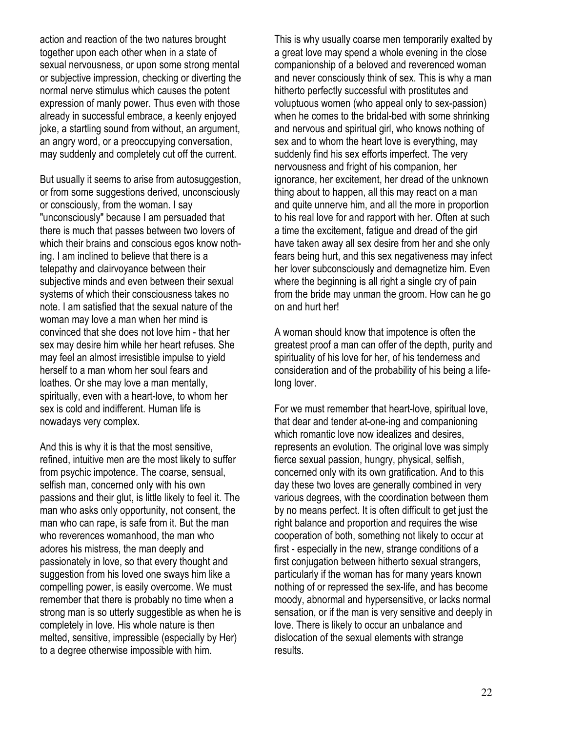action and reaction of the two natures brought together upon each other when in a state of sexual nervousness, or upon some strong mental or subjective impression, checking or diverting the normal nerve stimulus which causes the potent expression of manly power. Thus even with those already in successful embrace, a keenly enjoyed joke, a startling sound from without, an argument, an angry word, or a preoccupying conversation, may suddenly and completely cut off the current.

But usually it seems to arise from autosuggestion, or from some suggestions derived, unconsciously or consciously, from the woman. I say "unconsciously" because I am persuaded that there is much that passes between two lovers of which their brains and conscious egos know nothing. I am inclined to believe that there is a telepathy and clairvoyance between their subjective minds and even between their sexual systems of which their consciousness takes no note. I am satisfied that the sexual nature of the woman may love a man when her mind is convinced that she does not love him - that her sex may desire him while her heart refuses. She may feel an almost irresistible impulse to yield herself to a man whom her soul fears and loathes. Or she may love a man mentally, spiritually, even with a heart-love, to whom her sex is cold and indifferent. Human life is nowadays very complex.

And this is why it is that the most sensitive, refined, intuitive men are the most likely to suffer from psychic impotence. The coarse, sensual, selfish man, concerned only with his own passions and their glut, is little likely to feel it. The man who asks only opportunity, not consent, the man who can rape, is safe from it. But the man who reverences womanhood, the man who adores his mistress, the man deeply and passionately in love, so that every thought and suggestion from his loved one sways him like a compelling power, is easily overcome. We must remember that there is probably no time when a strong man is so utterly suggestible as when he is completely in love. His whole nature is then melted, sensitive, impressible (especially by Her) to a degree otherwise impossible with him.

This is why usually coarse men temporarily exalted by a great love may spend a whole evening in the close companionship of a beloved and reverenced woman and never consciously think of sex. This is why a man hitherto perfectly successful with prostitutes and voluptuous women (who appeal only to sex-passion) when he comes to the bridal-bed with some shrinking and nervous and spiritual girl, who knows nothing of sex and to whom the heart love is everything, may suddenly find his sex efforts imperfect. The very nervousness and fright of his companion, her ignorance, her excitement, her dread of the unknown thing about to happen, all this may react on a man and quite unnerve him, and all the more in proportion to his real love for and rapport with her. Often at such a time the excitement, fatigue and dread of the girl have taken away all sex desire from her and she only fears being hurt, and this sex negativeness may infect her lover subconsciously and demagnetize him. Even where the beginning is all right a single cry of pain from the bride may unman the groom. How can he go on and hurt her!

A woman should know that impotence is often the greatest proof a man can offer of the depth, purity and spirituality of his love for her, of his tenderness and consideration and of the probability of his being a lifelong lover.

For we must remember that heart-love, spiritual love, that dear and tender at-one-ing and companioning which romantic love now idealizes and desires, represents an evolution. The original love was simply fierce sexual passion, hungry, physical, selfish, concerned only with its own gratification. And to this day these two loves are generally combined in very various degrees, with the coordination between them by no means perfect. It is often difficult to get just the right balance and proportion and requires the wise cooperation of both, something not likely to occur at first - especially in the new, strange conditions of a first conjugation between hitherto sexual strangers, particularly if the woman has for many years known nothing of or repressed the sex-life, and has become moody, abnormal and hypersensitive, or lacks normal sensation, or if the man is very sensitive and deeply in love. There is likely to occur an unbalance and dislocation of the sexual elements with strange results.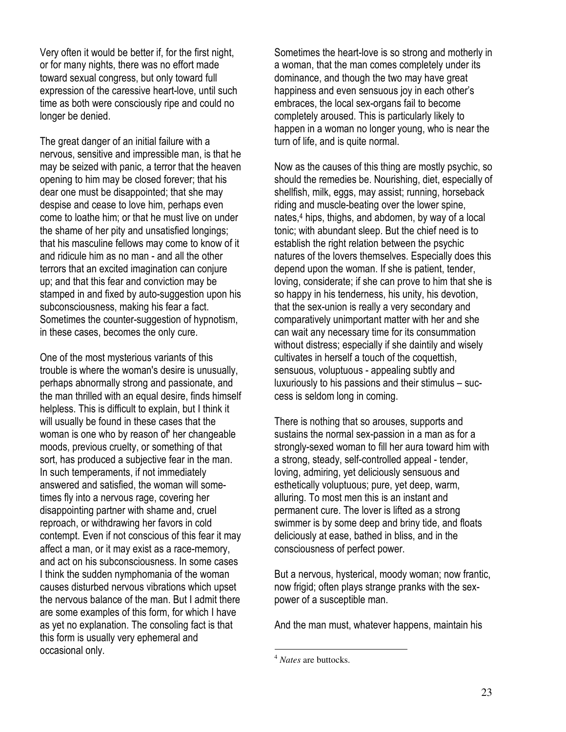Very often it would be better if, for the first night, or for many nights, there was no effort made toward sexual congress, but only toward full expression of the caressive heart-love, until such time as both were consciously ripe and could no longer be denied.

The great danger of an initial failure with a nervous, sensitive and impressible man, is that he may be seized with panic, a terror that the heaven opening to him may be closed forever; that his dear one must be disappointed; that she may despise and cease to love him, perhaps even come to loathe him; or that he must live on under the shame of her pity and unsatisfied longings; that his masculine fellows may come to know of it and ridicule him as no man - and all the other terrors that an excited imagination can conjure up; and that this fear and conviction may be stamped in and fixed by auto-suggestion upon his subconsciousness, making his fear a fact. Sometimes the counter-suggestion of hypnotism, in these cases, becomes the only cure.

One of the most mysterious variants of this trouble is where the woman's desire is unusually, perhaps abnormally strong and passionate, and the man thrilled with an equal desire, finds himself helpless. This is difficult to explain, but I think it will usually be found in these cases that the woman is one who by reason of' her changeable moods, previous cruelty, or something of that sort, has produced a subjective fear in the man. In such temperaments, if not immediately answered and satisfied, the woman will sometimes fly into a nervous rage, covering her disappointing partner with shame and, cruel reproach, or withdrawing her favors in cold contempt. Even if not conscious of this fear it may affect a man, or it may exist as a race-memory, and act on his subconsciousness. In some cases I think the sudden nymphomania of the woman causes disturbed nervous vibrations which upset the nervous balance of the man. But I admit there are some examples of this form, for which I have as yet no explanation. The consoling fact is that this form is usually very ephemeral and occasional only.

Sometimes the heart-love is so strong and motherly in a woman, that the man comes completely under its dominance, and though the two may have great happiness and even sensuous joy in each other's embraces, the local sex-organs fail to become completely aroused. This is particularly likely to happen in a woman no longer young, who is near the turn of life, and is quite normal.

Now as the causes of this thing are mostly psychic, so should the remedies be. Nourishing, diet, especially of shellfish, milk, eggs, may assist; running, horseback riding and muscle-beating over the lower spine, nates,<sup>4</sup> hips, thighs, and abdomen, by way of a local tonic; with abundant sleep. But the chief need is to establish the right relation between the psychic natures of the lovers themselves. Especially does this depend upon the woman. If she is patient, tender, loving, considerate; if she can prove to him that she is so happy in his tenderness, his unity, his devotion, that the sex-union is really a very secondary and comparatively unimportant matter with her and she can wait any necessary time for its consummation without distress; especially if she daintily and wisely cultivates in herself a touch of the coquettish, sensuous, voluptuous - appealing subtly and luxuriously to his passions and their stimulus – success is seldom long in coming.

There is nothing that so arouses, supports and sustains the normal sex-passion in a man as for a strongly-sexed woman to fill her aura toward him with a strong, steady, self-controlled appeal - tender, loving, admiring, yet deliciously sensuous and esthetically voluptuous; pure, yet deep, warm, alluring. To most men this is an instant and permanent cure. The lover is lifted as a strong swimmer is by some deep and briny tide, and floats deliciously at ease, bathed in bliss, and in the consciousness of perfect power.

But a nervous, hysterical, moody woman; now frantic, now frigid; often plays strange pranks with the sexpower of a susceptible man.

And the man must, whatever happens, maintain his

-

<sup>4</sup> *Nates* are buttocks.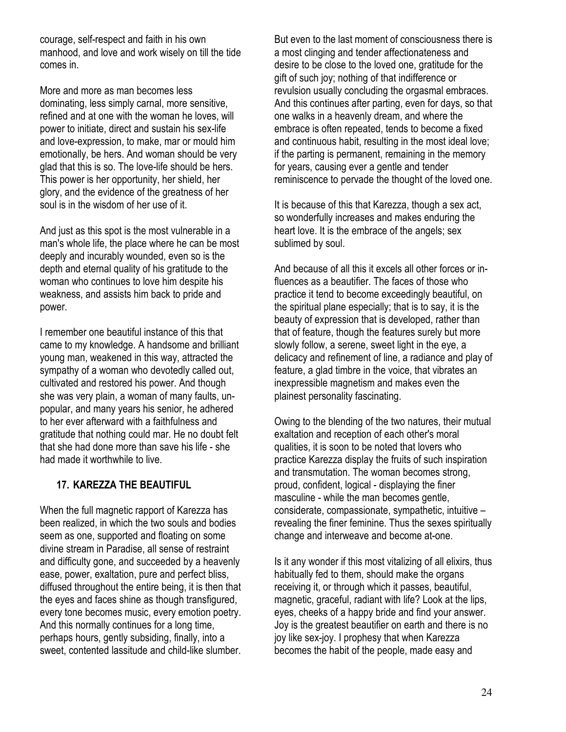courage, self-respect and faith in his own manhood, and love and work wisely on till the tide comes in.

More and more as man becomes less dominating, less simply carnal, more sensitive, refined and at one with the woman he loves, will power to initiate, direct and sustain his sex-life and love-expression, to make, mar or mould him emotionally, be hers. And woman should be very glad that this is so. The love-life should be hers. This power is her opportunity, her shield, her glory, and the evidence of the greatness of her soul is in the wisdom of her use of it.

And just as this spot is the most vulnerable in a man's whole life, the place where he can be most deeply and incurably wounded, even so is the depth and eternal quality of his gratitude to the woman who continues to love him despite his weakness, and assists him back to pride and power.

I remember one beautiful instance of this that came to my knowledge. A handsome and brilliant young man, weakened in this way, attracted the sympathy of a woman who devotedly called out, cultivated and restored his power. And though she was very plain, a woman of many faults, unpopular, and many years his senior, he adhered to her ever afterward with a faithfulness and gratitude that nothing could mar. He no doubt felt that she had done more than save his life - she had made it worthwhile to live.

### 17. KAREZZA THE BEAUTIFUL

When the full magnetic rapport of Karezza has been realized, in which the two souls and bodies seem as one, supported and floating on some divine stream in Paradise, all sense of restraint and difficulty gone, and succeeded by a heavenly ease, power, exaltation, pure and perfect bliss, diffused throughout the entire being, it is then that the eyes and faces shine as though transfigured, every tone becomes music, every emotion poetry. And this normally continues for a long time, perhaps hours, gently subsiding, finally, into a sweet, contented lassitude and child-like slumber.

But even to the last moment of consciousness there is a most clinging and tender affectionateness and desire to be close to the loved one, gratitude for the gift of such joy; nothing of that indifference or revulsion usually concluding the orgasmal embraces. And this continues after parting, even for days, so that one walks in a heavenly dream, and where the embrace is often repeated, tends to become a fixed and continuous habit, resulting in the most ideal love; if the parting is permanent, remaining in the memory for years, causing ever a gentle and tender reminiscence to pervade the thought of the loved one.

It is because of this that Karezza, though a sex act, so wonderfully increases and makes enduring the heart love. It is the embrace of the angels; sex sublimed by soul.

And because of all this it excels all other forces or influences as a beautifier. The faces of those who practice it tend to become exceedingly beautiful, on the spiritual plane especially; that is to say, it is the beauty of expression that is developed, rather than that of feature, though the features surely but more slowly follow, a serene, sweet light in the eye, a delicacy and refinement of line, a radiance and play of feature, a glad timbre in the voice, that vibrates an inexpressible magnetism and makes even the plainest personality fascinating.

Owing to the blending of the two natures, their mutual exaltation and reception of each other's moral qualities, it is soon to be noted that lovers who practice Karezza display the fruits of such inspiration and transmutation. The woman becomes strong, proud, confident, logical - displaying the finer masculine - while the man becomes gentle, considerate, compassionate, sympathetic, intuitive – revealing the finer feminine. Thus the sexes spiritually change and interweave and become at-one.

Is it any wonder if this most vitalizing of all elixirs, thus habitually fed to them, should make the organs receiving it, or through which it passes, beautiful, magnetic, graceful, radiant with life? Look at the lips, eyes, cheeks of a happy bride and find your answer. Joy is the greatest beautifier on earth and there is no joy like sex-joy. I prophesy that when Karezza becomes the habit of the people, made easy and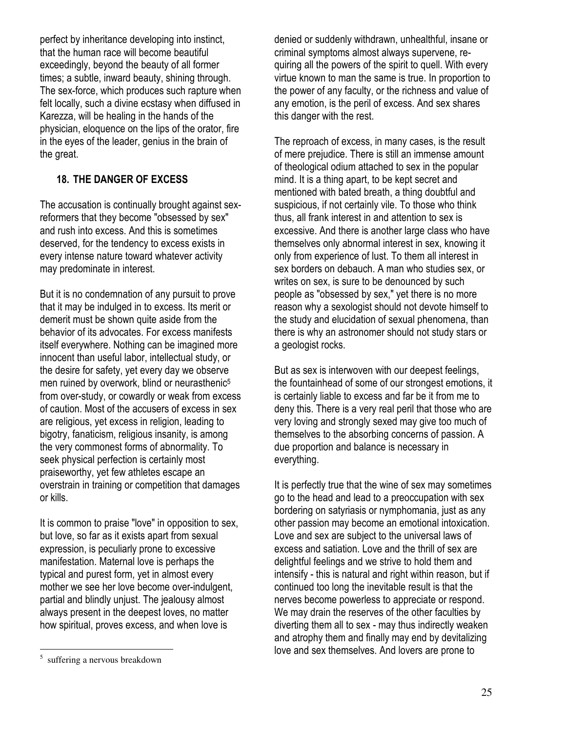perfect by inheritance developing into instinct, that the human race will become beautiful exceedingly, beyond the beauty of all former times; a subtle, inward beauty, shining through. The sex-force, which produces such rapture when felt locally, such a divine ecstasy when diffused in Karezza, will be healing in the hands of the physician, eloquence on the lips of the orator, fire in the eyes of the leader, genius in the brain of the great.

### 18. THE DANGER OF EXCESS

The accusation is continually brought against sexreformers that they become "obsessed by sex" and rush into excess. And this is sometimes deserved, for the tendency to excess exists in every intense nature toward whatever activity may predominate in interest.

But it is no condemnation of any pursuit to prove that it may be indulged in to excess. Its merit or demerit must be shown quite aside from the behavior of its advocates. For excess manifests itself everywhere. Nothing can be imagined more innocent than useful labor, intellectual study, or the desire for safety, yet every day we observe men ruined by overwork, blind or neurasthenic<sup>5</sup> from over-study, or cowardly or weak from excess of caution. Most of the accusers of excess in sex are religious, yet excess in religion, leading to bigotry, fanaticism, religious insanity, is among the very commonest forms of abnormality. To seek physical perfection is certainly most praiseworthy, yet few athletes escape an overstrain in training or competition that damages or kills.

It is common to praise "love" in opposition to sex, but love, so far as it exists apart from sexual expression, is peculiarly prone to excessive manifestation. Maternal love is perhaps the typical and purest form, yet in almost every mother we see her love become over-indulgent, partial and blindly unjust. The jealousy almost always present in the deepest loves, no matter how spiritual, proves excess, and when love is

denied or suddenly withdrawn, unhealthful, insane or criminal symptoms almost always supervene, requiring all the powers of the spirit to quell. With every virtue known to man the same is true. In proportion to the power of any faculty, or the richness and value of any emotion, is the peril of excess. And sex shares this danger with the rest.

The reproach of excess, in many cases, is the result of mere prejudice. There is still an immense amount of theological odium attached to sex in the popular mind. It is a thing apart, to be kept secret and mentioned with bated breath, a thing doubtful and suspicious, if not certainly vile. To those who think thus, all frank interest in and attention to sex is excessive. And there is another large class who have themselves only abnormal interest in sex, knowing it only from experience of lust. To them all interest in sex borders on debauch. A man who studies sex, or writes on sex, is sure to be denounced by such people as "obsessed by sex," yet there is no more reason why a sexologist should not devote himself to the study and elucidation of sexual phenomena, than there is why an astronomer should not study stars or a geologist rocks.

But as sex is interwoven with our deepest feelings, the fountainhead of some of our strongest emotions, it is certainly liable to excess and far be it from me to deny this. There is a very real peril that those who are very loving and strongly sexed may give too much of themselves to the absorbing concerns of passion. A due proportion and balance is necessary in everything.

It is perfectly true that the wine of sex may sometimes go to the head and lead to a preoccupation with sex bordering on satyriasis or nymphomania, just as any other passion may become an emotional intoxication. Love and sex are subject to the universal laws of excess and satiation. Love and the thrill of sex are delightful feelings and we strive to hold them and intensify - this is natural and right within reason, but if continued too long the inevitable result is that the nerves become powerless to appreciate or respond. We may drain the reserves of the other faculties by diverting them all to sex - may thus indirectly weaken and atrophy them and finally may end by devitalizing love and sex themselves. And lovers are prone to

l 5 suffering a nervous breakdown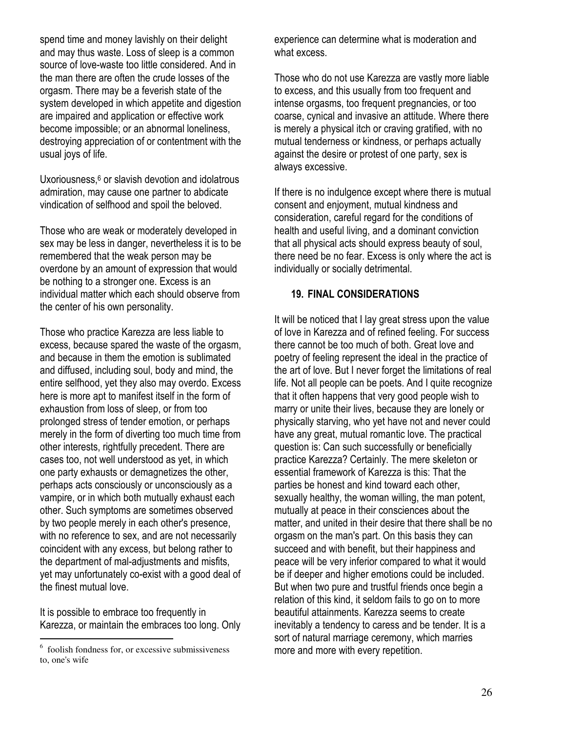spend time and money lavishly on their delight and may thus waste. Loss of sleep is a common source of love-waste too little considered. And in the man there are often the crude losses of the orgasm. There may be a feverish state of the system developed in which appetite and digestion are impaired and application or effective work become impossible; or an abnormal loneliness, destroying appreciation of or contentment with the usual joys of life.

Uxoriousness,<sup>6</sup> or slavish devotion and idolatrous admiration, may cause one partner to abdicate vindication of selfhood and spoil the beloved.

Those who are weak or moderately developed in sex may be less in danger, nevertheless it is to be remembered that the weak person may be overdone by an amount of expression that would be nothing to a stronger one. Excess is an individual matter which each should observe from the center of his own personality.

Those who practice Karezza are less liable to excess, because spared the waste of the orgasm, and because in them the emotion is sublimated and diffused, including soul, body and mind, the entire selfhood, yet they also may overdo. Excess here is more apt to manifest itself in the form of exhaustion from loss of sleep, or from too prolonged stress of tender emotion, or perhaps merely in the form of diverting too much time from other interests, rightfully precedent. There are cases too, not well understood as yet, in which one party exhausts or demagnetizes the other, perhaps acts consciously or unconsciously as a vampire, or in which both mutually exhaust each other. Such symptoms are sometimes observed by two people merely in each other's presence, with no reference to sex, and are not necessarily coincident with any excess, but belong rather to the department of mal-adjustments and misfits, yet may unfortunately co-exist with a good deal of the finest mutual love.

It is possible to embrace too frequently in Karezza, or maintain the embraces too long. Only

experience can determine what is moderation and what excess.

Those who do not use Karezza are vastly more liable to excess, and this usually from too frequent and intense orgasms, too frequent pregnancies, or too coarse, cynical and invasive an attitude. Where there is merely a physical itch or craving gratified, with no mutual tenderness or kindness, or perhaps actually against the desire or protest of one party, sex is always excessive.

If there is no indulgence except where there is mutual consent and enjoyment, mutual kindness and consideration, careful regard for the conditions of health and useful living, and a dominant conviction that all physical acts should express beauty of soul, there need be no fear. Excess is only where the act is individually or socially detrimental.

#### 19. FINAL CONSIDERATIONS

It will be noticed that I lay great stress upon the value of love in Karezza and of refined feeling. For success there cannot be too much of both. Great love and poetry of feeling represent the ideal in the practice of the art of love. But I never forget the limitations of real life. Not all people can be poets. And I quite recognize that it often happens that very good people wish to marry or unite their lives, because they are lonely or physically starving, who yet have not and never could have any great, mutual romantic love. The practical question is: Can such successfully or beneficially practice Karezza? Certainly. The mere skeleton or essential framework of Karezza is this: That the parties be honest and kind toward each other, sexually healthy, the woman willing, the man potent, mutually at peace in their consciences about the matter, and united in their desire that there shall be no orgasm on the man's part. On this basis they can succeed and with benefit, but their happiness and peace will be very inferior compared to what it would be if deeper and higher emotions could be included. But when two pure and trustful friends once begin a relation of this kind, it seldom fails to go on to more beautiful attainments. Karezza seems to create inevitably a tendency to caress and be tender. It is a sort of natural marriage ceremony, which marries more and more with every repetition.

 6 foolish fondness for, or excessive submissiveness to, one's wife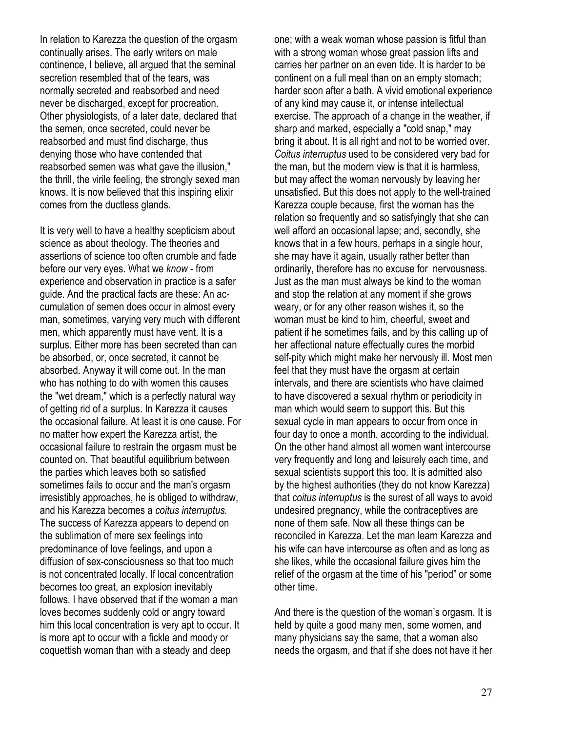In relation to Karezza the question of the orgasm continually arises. The early writers on male continence, I believe, all argued that the seminal secretion resembled that of the tears, was normally secreted and reabsorbed and need never be discharged, except for procreation. Other physiologists, of a later date, declared that the semen, once secreted, could never be reabsorbed and must find discharge, thus denying those who have contended that reabsorbed semen was what gave the illusion," the thrill, the virile feeling, the strongly sexed man knows. It is now believed that this inspiring elixir comes from the ductless glands.

It is very well to have a healthy scepticism about science as about theology. The theories and assertions of science too often crumble and fade before our very eyes. What we know - from experience and observation in practice is a safer guide. And the practical facts are these: An accumulation of semen does occur in almost every man, sometimes, varying very much with different men, which apparently must have vent. It is a surplus. Either more has been secreted than can be absorbed, or, once secreted, it cannot be absorbed. Anyway it will come out. In the man who has nothing to do with women this causes the "wet dream," which is a perfectly natural way of getting rid of a surplus. In Karezza it causes the occasional failure. At least it is one cause. For no matter how expert the Karezza artist, the occasional failure to restrain the orgasm must be counted on. That beautiful equilibrium between the parties which leaves both so satisfied sometimes fails to occur and the man's orgasm irresistibly approaches, he is obliged to withdraw, and his Karezza becomes a coitus interruptus. The success of Karezza appears to depend on the sublimation of mere sex feelings into predominance of love feelings, and upon a diffusion of sex-consciousness so that too much is not concentrated locally. If local concentration becomes too great, an explosion inevitably follows. I have observed that if the woman a man loves becomes suddenly cold or angry toward him this local concentration is very apt to occur. It is more apt to occur with a fickle and moody or coquettish woman than with a steady and deep

one; with a weak woman whose passion is fitful than with a strong woman whose great passion lifts and carries her partner on an even tide. It is harder to be continent on a full meal than on an empty stomach; harder soon after a bath. A vivid emotional experience of any kind may cause it, or intense intellectual exercise. The approach of a change in the weather, if sharp and marked, especially a "cold snap," may bring it about. It is all right and not to be worried over. Coitus interruptus used to be considered very bad for the man, but the modern view is that it is harmless, but may affect the woman nervously by leaving her unsatisfied. But this does not apply to the well-trained Karezza couple because, first the woman has the relation so frequently and so satisfyingly that she can well afford an occasional lapse; and, secondly, she knows that in a few hours, perhaps in a single hour, she may have it again, usually rather better than ordinarily, therefore has no excuse for nervousness. Just as the man must always be kind to the woman and stop the relation at any moment if she grows weary, or for any other reason wishes it, so the woman must be kind to him, cheerful, sweet and patient if he sometimes fails, and by this calling up of her affectional nature effectually cures the morbid self-pity which might make her nervously ill. Most men feel that they must have the orgasm at certain intervals, and there are scientists who have claimed to have discovered a sexual rhythm or periodicity in man which would seem to support this. But this sexual cycle in man appears to occur from once in four day to once a month, according to the individual. On the other hand almost all women want intercourse very frequently and long and leisurely each time, and sexual scientists support this too. It is admitted also by the highest authorities (they do not know Karezza) that coitus interruptus is the surest of all ways to avoid undesired pregnancy, while the contraceptives are none of them safe. Now all these things can be reconciled in Karezza. Let the man learn Karezza and his wife can have intercourse as often and as long as she likes, while the occasional failure gives him the relief of the orgasm at the time of his "period" or some other time.

And there is the question of the woman's orgasm. It is held by quite a good many men, some women, and many physicians say the same, that a woman also needs the orgasm, and that if she does not have it her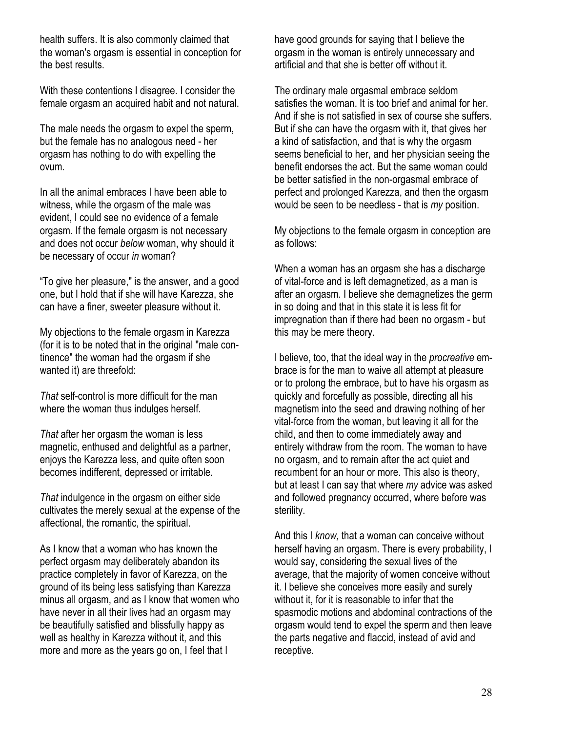health suffers. It is also commonly claimed that the woman's orgasm is essential in conception for the best results.

With these contentions I disagree. I consider the female orgasm an acquired habit and not natural.

The male needs the orgasm to expel the sperm, but the female has no analogous need - her orgasm has nothing to do with expelling the ovum.

In all the animal embraces I have been able to witness, while the orgasm of the male was evident, I could see no evidence of a female orgasm. If the female orgasm is not necessary and does not occur below woman, why should it be necessary of occur in woman?

"To give her pleasure," is the answer, and a good one, but I hold that if she will have Karezza, she can have a finer, sweeter pleasure without it.

My objections to the female orgasm in Karezza (for it is to be noted that in the original "male continence" the woman had the orgasm if she wanted it) are threefold:

That self-control is more difficult for the man where the woman thus indulges herself.

That after her orgasm the woman is less magnetic, enthused and delightful as a partner, enjoys the Karezza less, and quite often soon becomes indifferent, depressed or irritable.

That indulgence in the orgasm on either side cultivates the merely sexual at the expense of the affectional, the romantic, the spiritual.

As I know that a woman who has known the perfect orgasm may deliberately abandon its practice completely in favor of Karezza, on the ground of its being less satisfying than Karezza minus all orgasm, and as I know that women who have never in all their lives had an orgasm may be beautifully satisfied and blissfully happy as well as healthy in Karezza without it, and this more and more as the years go on, I feel that I

have good grounds for saying that I believe the orgasm in the woman is entirely unnecessary and artificial and that she is better off without it.

The ordinary male orgasmal embrace seldom satisfies the woman. It is too brief and animal for her. And if she is not satisfied in sex of course she suffers. But if she can have the orgasm with it, that gives her a kind of satisfaction, and that is why the orgasm seems beneficial to her, and her physician seeing the benefit endorses the act. But the same woman could be better satisfied in the non-orgasmal embrace of perfect and prolonged Karezza, and then the orgasm would be seen to be needless - that is my position.

My objections to the female orgasm in conception are as follows:

When a woman has an orgasm she has a discharge of vital-force and is left demagnetized, as a man is after an orgasm. I believe she demagnetizes the germ in so doing and that in this state it is less fit for impregnation than if there had been no orgasm - but this may be mere theory.

I believe, too, that the ideal way in the procreative embrace is for the man to waive all attempt at pleasure or to prolong the embrace, but to have his orgasm as quickly and forcefully as possible, directing all his magnetism into the seed and drawing nothing of her vital-force from the woman, but leaving it all for the child, and then to come immediately away and entirely withdraw from the room. The woman to have no orgasm, and to remain after the act quiet and recumbent for an hour or more. This also is theory, but at least I can say that where my advice was asked and followed pregnancy occurred, where before was sterility.

And this I know, that a woman can conceive without herself having an orgasm. There is every probability, I would say, considering the sexual lives of the average, that the majority of women conceive without it. I believe she conceives more easily and surely without it, for it is reasonable to infer that the spasmodic motions and abdominal contractions of the orgasm would tend to expel the sperm and then leave the parts negative and flaccid, instead of avid and receptive.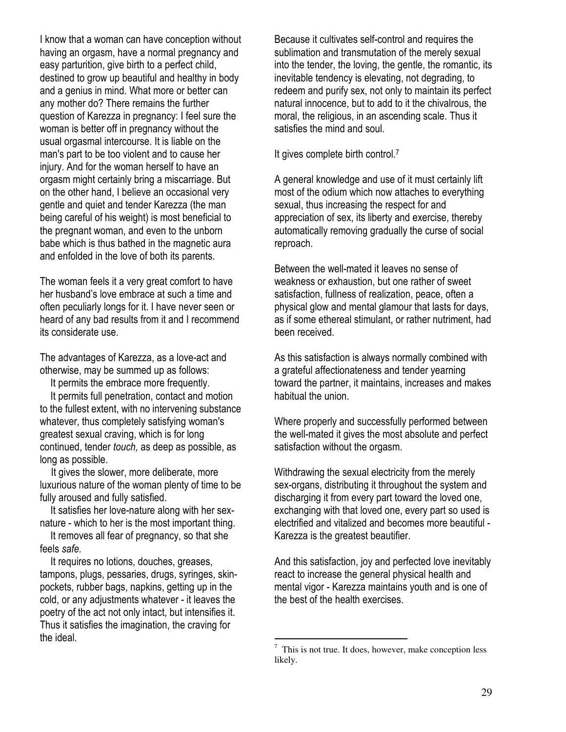I know that a woman can have conception without having an orgasm, have a normal pregnancy and easy parturition, give birth to a perfect child, destined to grow up beautiful and healthy in body and a genius in mind. What more or better can any mother do? There remains the further question of Karezza in pregnancy: I feel sure the woman is better off in pregnancy without the usual orgasmal intercourse. It is liable on the man's part to be too violent and to cause her injury. And for the woman herself to have an orgasm might certainly bring a miscarriage. But on the other hand, I believe an occasional very gentle and quiet and tender Karezza (the man being careful of his weight) is most beneficial to the pregnant woman, and even to the unborn babe which is thus bathed in the magnetic aura and enfolded in the love of both its parents.

The woman feels it a very great comfort to have her husband's love embrace at such a time and often peculiarly longs for it. I have never seen or heard of any bad results from it and I recommend its considerate use.

The advantages of Karezza, as a love-act and otherwise, may be summed up as follows:

It permits the embrace more frequently.

 It permits full penetration, contact and motion to the fullest extent, with no intervening substance whatever, thus completely satisfying woman's greatest sexual craving, which is for long continued, tender touch, as deep as possible, as long as possible.

It gives the slower, more deliberate, more luxurious nature of the woman plenty of time to be fully aroused and fully satisfied.

 It satisfies her love-nature along with her sexnature - which to her is the most important thing.

 It removes all fear of pregnancy, so that she feels safe.

 It requires no lotions, douches, greases, tampons, plugs, pessaries, drugs, syringes, skinpockets, rubber bags, napkins, getting up in the cold, or any adjustments whatever - it leaves the poetry of the act not only intact, but intensifies it. Thus it satisfies the imagination, the craving for the ideal.

Because it cultivates self-control and requires the sublimation and transmutation of the merely sexual into the tender, the loving, the gentle, the romantic, its inevitable tendency is elevating, not degrading, to redeem and purify sex, not only to maintain its perfect natural innocence, but to add to it the chivalrous, the moral, the religious, in an ascending scale. Thus it satisfies the mind and soul.

It gives complete birth control.<sup>7</sup>

A general knowledge and use of it must certainly lift most of the odium which now attaches to everything sexual, thus increasing the respect for and appreciation of sex, its liberty and exercise, thereby automatically removing gradually the curse of social reproach.

Between the well-mated it leaves no sense of weakness or exhaustion, but one rather of sweet satisfaction, fullness of realization, peace, often a physical glow and mental glamour that lasts for days, as if some ethereal stimulant, or rather nutriment, had been received.

As this satisfaction is always normally combined with a grateful affectionateness and tender yearning toward the partner, it maintains, increases and makes habitual the union.

Where properly and successfully performed between the well-mated it gives the most absolute and perfect satisfaction without the orgasm.

Withdrawing the sexual electricity from the merely sex-organs, distributing it throughout the system and discharging it from every part toward the loved one, exchanging with that loved one, every part so used is electrified and vitalized and becomes more beautiful - Karezza is the greatest beautifier.

And this satisfaction, joy and perfected love inevitably react to increase the general physical health and mental vigor - Karezza maintains youth and is one of the best of the health exercises.

<sup>&</sup>lt;sup>7</sup> This is not true. It does, however, make conception less likely.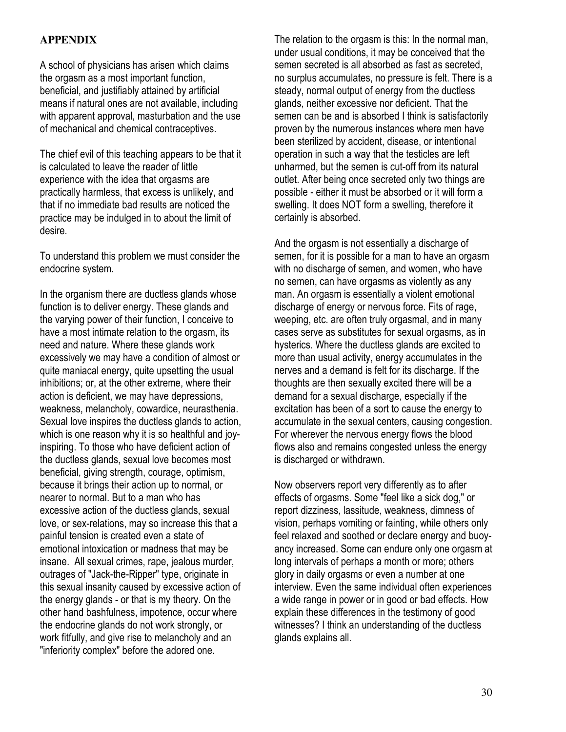### **APPENDIX**

A school of physicians has arisen which claims the orgasm as a most important function, beneficial, and justifiably attained by artificial means if natural ones are not available, including with apparent approval, masturbation and the use of mechanical and chemical contraceptives.

The chief evil of this teaching appears to be that it is calculated to leave the reader of little experience with the idea that orgasms are practically harmless, that excess is unlikely, and that if no immediate bad results are noticed the practice may be indulged in to about the limit of desire.

To understand this problem we must consider the endocrine system.

In the organism there are ductless glands whose function is to deliver energy. These glands and the varying power of their function, I conceive to have a most intimate relation to the orgasm, its need and nature. Where these glands work excessively we may have a condition of almost or quite maniacal energy, quite upsetting the usual inhibitions; or, at the other extreme, where their action is deficient, we may have depressions, weakness, melancholy, cowardice, neurasthenia. Sexual love inspires the ductless glands to action, which is one reason why it is so healthful and joyinspiring. To those who have deficient action of the ductless glands, sexual love becomes most beneficial, giving strength, courage, optimism, because it brings their action up to normal, or nearer to normal. But to a man who has excessive action of the ductless glands, sexual love, or sex-relations, may so increase this that a painful tension is created even a state of emotional intoxication or madness that may be insane. All sexual crimes, rape, jealous murder, outrages of "Jack-the-Ripper" type, originate in this sexual insanity caused by excessive action of the energy glands - or that is my theory. On the other hand bashfulness, impotence, occur where the endocrine glands do not work strongly, or work fitfully, and give rise to melancholy and an "inferiority complex" before the adored one.

The relation to the orgasm is this: In the normal man, under usual conditions, it may be conceived that the semen secreted is all absorbed as fast as secreted, no surplus accumulates, no pressure is felt. There is a steady, normal output of energy from the ductless glands, neither excessive nor deficient. That the semen can be and is absorbed I think is satisfactorily proven by the numerous instances where men have been sterilized by accident, disease, or intentional operation in such a way that the testicles are left unharmed, but the semen is cut-off from its natural outlet. After being once secreted only two things are possible - either it must be absorbed or it will form a swelling. It does NOT form a swelling, therefore it certainly is absorbed.

And the orgasm is not essentially a discharge of semen, for it is possible for a man to have an orgasm with no discharge of semen, and women, who have no semen, can have orgasms as violently as any man. An orgasm is essentially a violent emotional discharge of energy or nervous force. Fits of rage, weeping, etc. are often truly orgasmal, and in many cases serve as substitutes for sexual orgasms, as in hysterics. Where the ductless glands are excited to more than usual activity, energy accumulates in the nerves and a demand is felt for its discharge. If the thoughts are then sexually excited there will be a demand for a sexual discharge, especially if the excitation has been of a sort to cause the energy to accumulate in the sexual centers, causing congestion. For wherever the nervous energy flows the blood flows also and remains congested unless the energy is discharged or withdrawn.

Now observers report very differently as to after effects of orgasms. Some "feel like a sick dog," or report dizziness, lassitude, weakness, dimness of vision, perhaps vomiting or fainting, while others only feel relaxed and soothed or declare energy and buoyancy increased. Some can endure only one orgasm at long intervals of perhaps a month or more; others glory in daily orgasms or even a number at one interview. Even the same individual often experiences a wide range in power or in good or bad effects. How explain these differences in the testimony of good witnesses? I think an understanding of the ductless glands explains all.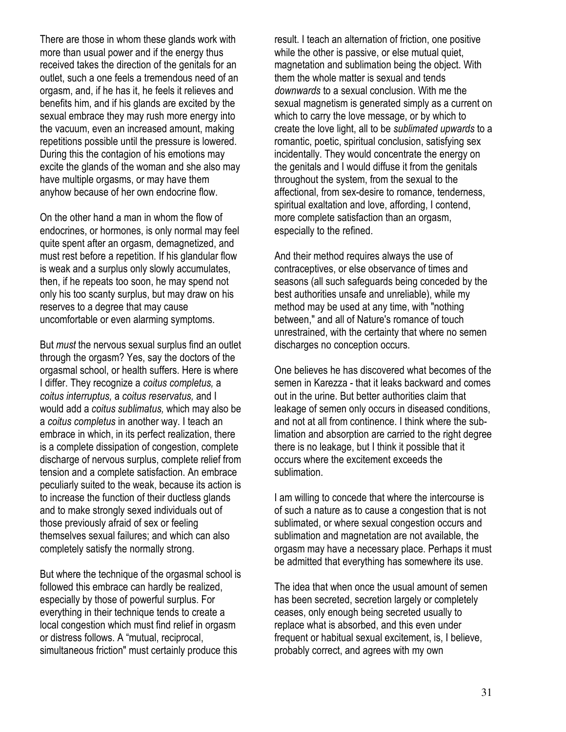There are those in whom these glands work with more than usual power and if the energy thus received takes the direction of the genitals for an outlet, such a one feels a tremendous need of an orgasm, and, if he has it, he feels it relieves and benefits him, and if his glands are excited by the sexual embrace they may rush more energy into the vacuum, even an increased amount, making repetitions possible until the pressure is lowered. During this the contagion of his emotions may excite the glands of the woman and she also may have multiple orgasms, or may have them anyhow because of her own endocrine flow.

On the other hand a man in whom the flow of endocrines, or hormones, is only normal may feel quite spent after an orgasm, demagnetized, and must rest before a repetition. If his glandular flow is weak and a surplus only slowly accumulates, then, if he repeats too soon, he may spend not only his too scanty surplus, but may draw on his reserves to a degree that may cause uncomfortable or even alarming symptoms.

But must the nervous sexual surplus find an outlet through the orgasm? Yes, say the doctors of the orgasmal school, or health suffers. Here is where I differ. They recognize a coitus completus, a coitus interruptus, a coitus reservatus, and I would add a coitus sublimatus, which may also be a coitus completus in another way. I teach an embrace in which, in its perfect realization, there is a complete dissipation of congestion, complete discharge of nervous surplus, complete relief from tension and a complete satisfaction. An embrace peculiarly suited to the weak, because its action is to increase the function of their ductless glands and to make strongly sexed individuals out of those previously afraid of sex or feeling themselves sexual failures; and which can also completely satisfy the normally strong.

But where the technique of the orgasmal school is followed this embrace can hardly be realized, especially by those of powerful surplus. For everything in their technique tends to create a local congestion which must find relief in orgasm or distress follows. A "mutual, reciprocal, simultaneous friction" must certainly produce this

result. I teach an alternation of friction, one positive while the other is passive, or else mutual quiet, magnetation and sublimation being the object. With them the whole matter is sexual and tends downwards to a sexual conclusion. With me the sexual magnetism is generated simply as a current on which to carry the love message, or by which to create the love light, all to be sublimated upwards to a romantic, poetic, spiritual conclusion, satisfying sex incidentally. They would concentrate the energy on the genitals and I would diffuse it from the genitals throughout the system, from the sexual to the affectional, from sex-desire to romance, tenderness, spiritual exaltation and love, affording, I contend, more complete satisfaction than an orgasm, especially to the refined.

And their method requires always the use of contraceptives, or else observance of times and seasons (all such safeguards being conceded by the best authorities unsafe and unreliable), while my method may be used at any time, with "nothing between," and all of Nature's romance of touch unrestrained, with the certainty that where no semen discharges no conception occurs.

One believes he has discovered what becomes of the semen in Karezza - that it leaks backward and comes out in the urine. But better authorities claim that leakage of semen only occurs in diseased conditions, and not at all from continence. I think where the sublimation and absorption are carried to the right degree there is no leakage, but I think it possible that it occurs where the excitement exceeds the sublimation.

I am willing to concede that where the intercourse is of such a nature as to cause a congestion that is not sublimated, or where sexual congestion occurs and sublimation and magnetation are not available, the orgasm may have a necessary place. Perhaps it must be admitted that everything has somewhere its use.

The idea that when once the usual amount of semen has been secreted, secretion largely or completely ceases, only enough being secreted usually to replace what is absorbed, and this even under frequent or habitual sexual excitement, is, I believe, probably correct, and agrees with my own